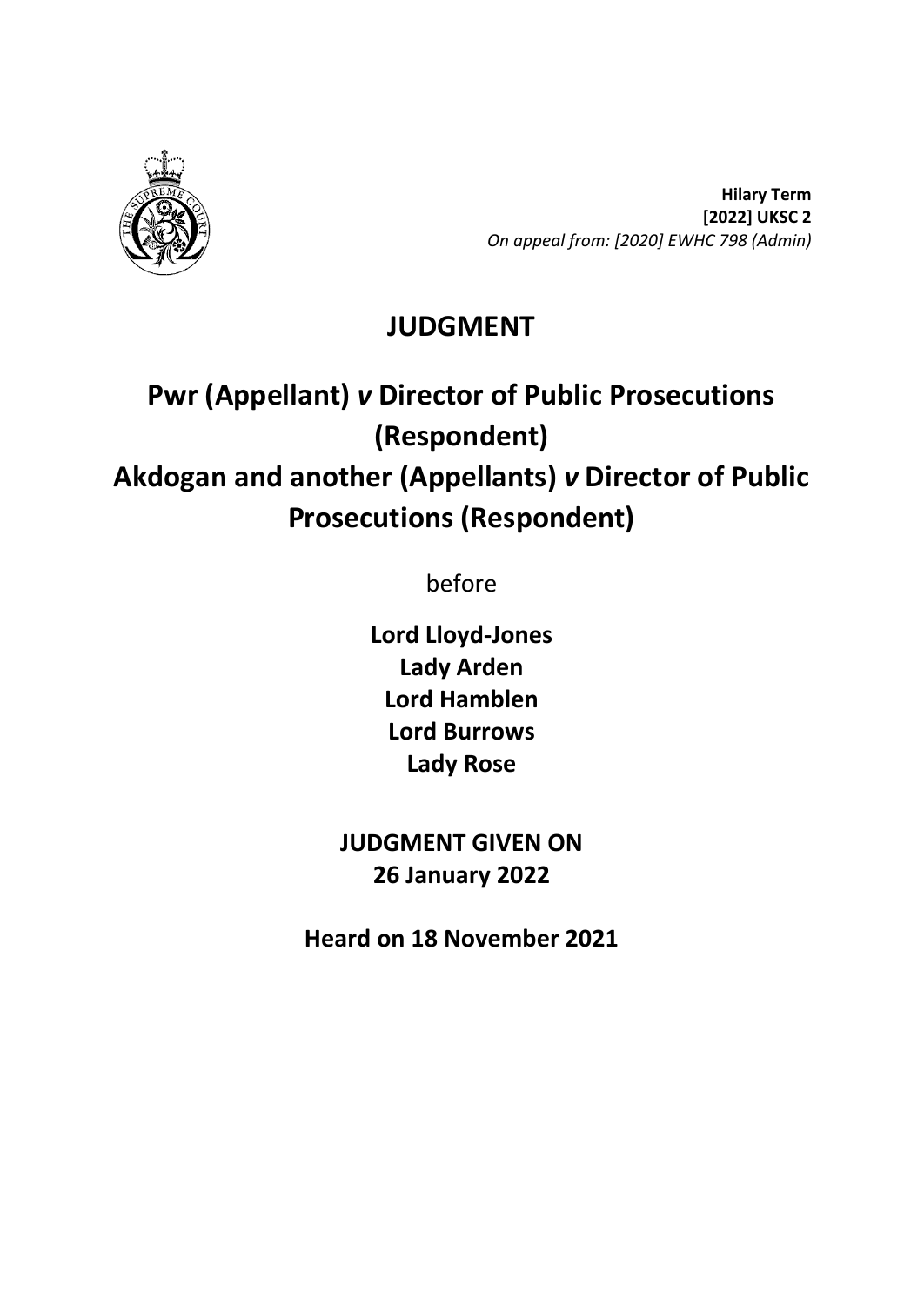

**Hilary Term [2022] UKSC 2** *On appeal from: [2020] EWHC 798 (Admin)*

## **JUDGMENT**

# **Pwr (Appellant)** *v* **Director of Public Prosecutions (Respondent) Akdogan and another (Appellants)** *v* **Director of Public Prosecutions (Respondent)**

before

**Lord Lloyd-Jones Lady Arden Lord Hamblen Lord Burrows Lady Rose**

**JUDGMENT GIVEN ON 26 January 2022**

**Heard on 18 November 2021**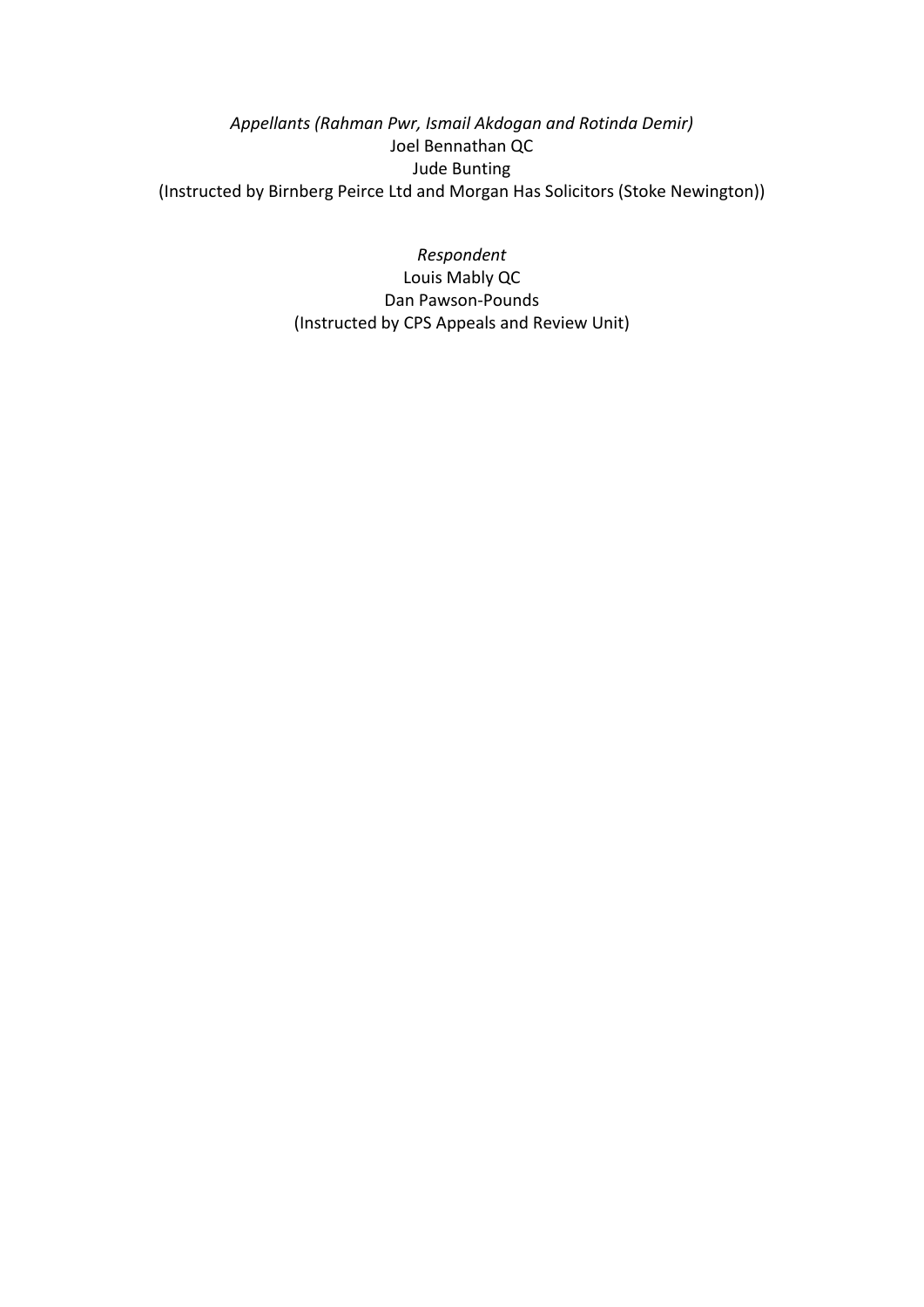*Appellants (Rahman Pwr, Ismail Akdogan and Rotinda Demir)* Joel Bennathan QC Jude Bunting (Instructed by Birnberg Peirce Ltd and Morgan Has Solicitors (Stoke Newington))

> *Respondent* Louis Mably QC Dan Pawson-Pounds (Instructed by CPS Appeals and Review Unit)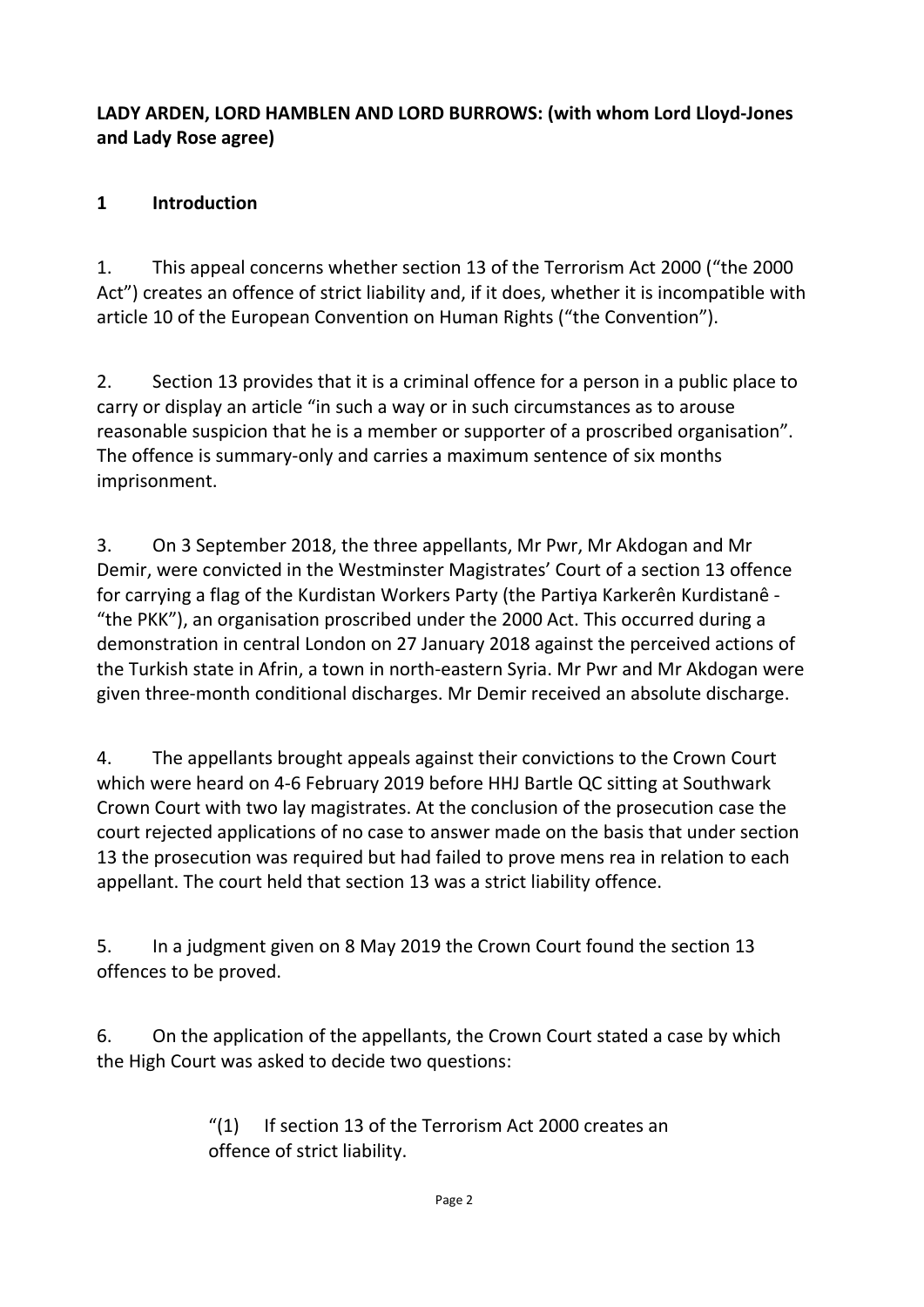## **LADY ARDEN, LORD HAMBLEN AND LORD BURROWS: (with whom Lord Lloyd-Jones and Lady Rose agree)**

## **1 Introduction**

1. This appeal concerns whether section 13 of the Terrorism Act 2000 ("the 2000 Act") creates an offence of strict liability and, if it does, whether it is incompatible with article 10 of the European Convention on Human Rights ("the Convention").

2. Section 13 provides that it is a criminal offence for a person in a public place to carry or display an article "in such a way or in such circumstances as to arouse reasonable suspicion that he is a member or supporter of a proscribed organisation". The offence is summary-only and carries a maximum sentence of six months imprisonment.

3. On 3 September 2018, the three appellants, Mr Pwr, Mr Akdogan and Mr Demir, were convicted in the Westminster Magistrates' Court of a section 13 offence for carrying a flag of the Kurdistan Workers Party (the Partiya Karkerên Kurdistanê - "the PKK"), an organisation proscribed under the 2000 Act. This occurred during a demonstration in central London on 27 January 2018 against the perceived actions of the Turkish state in Afrin, a town in north-eastern Syria. Mr Pwr and Mr Akdogan were given three-month conditional discharges. Mr Demir received an absolute discharge.

4. The appellants brought appeals against their convictions to the Crown Court which were heard on 4-6 February 2019 before HHJ Bartle QC sitting at Southwark Crown Court with two lay magistrates. At the conclusion of the prosecution case the court rejected applications of no case to answer made on the basis that under section 13 the prosecution was required but had failed to prove mens rea in relation to each appellant. The court held that section 13 was a strict liability offence.

5. In a judgment given on 8 May 2019 the Crown Court found the section 13 offences to be proved.

6. On the application of the appellants, the Crown Court stated a case by which the High Court was asked to decide two questions:

> "(1) If section 13 of the Terrorism Act 2000 creates an offence of strict liability.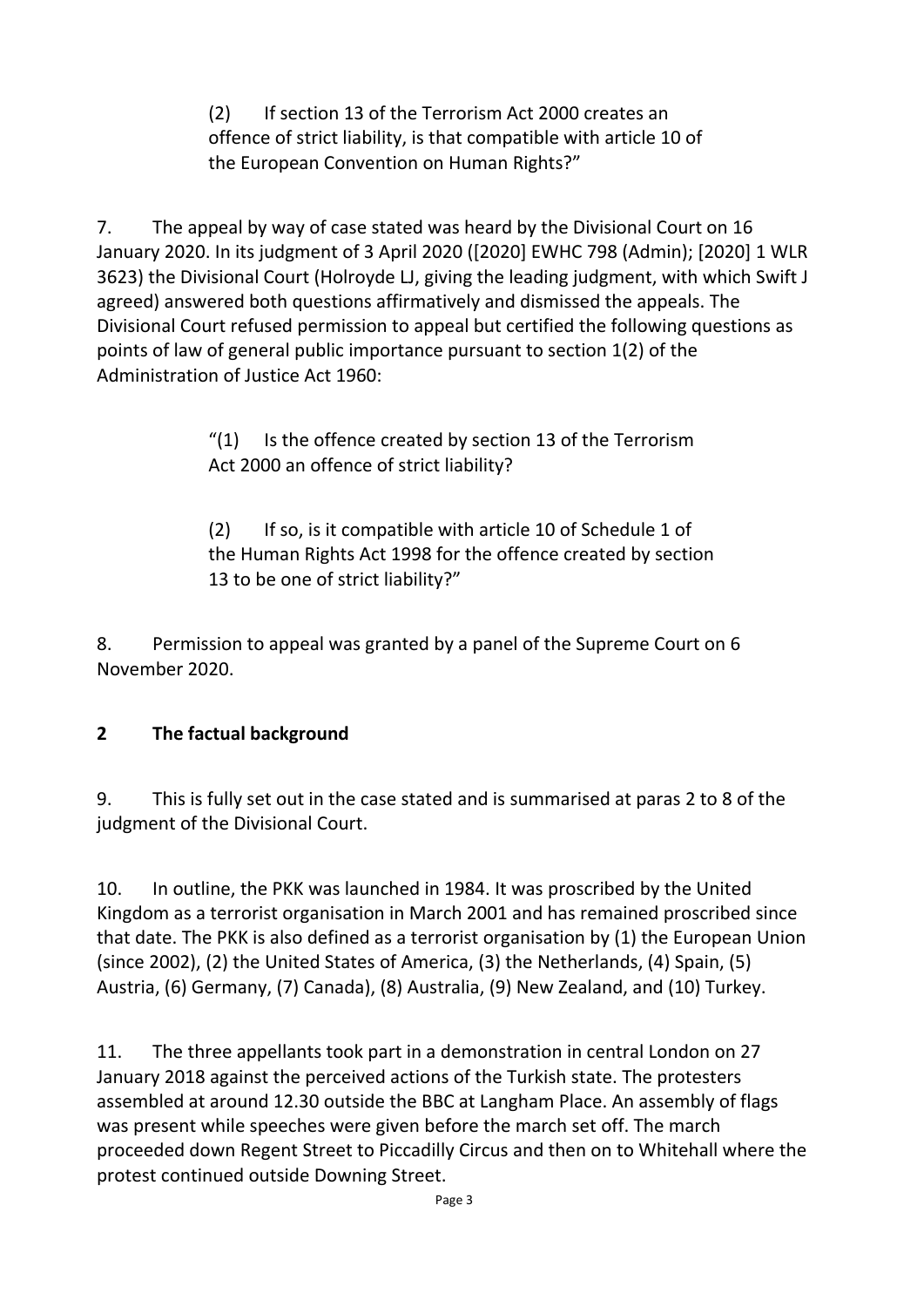(2) If section 13 of the Terrorism Act 2000 creates an offence of strict liability, is that compatible with article 10 of the European Convention on Human Rights?"

7. The appeal by way of case stated was heard by the Divisional Court on 16 January 2020. In its judgment of 3 April 2020 ([2020] EWHC 798 (Admin); [2020] 1 WLR 3623) the Divisional Court (Holroyde LJ, giving the leading judgment, with which Swift J agreed) answered both questions affirmatively and dismissed the appeals. The Divisional Court refused permission to appeal but certified the following questions as points of law of general public importance pursuant to section 1(2) of the Administration of Justice Act 1960:

> $''(1)$  Is the offence created by section 13 of the Terrorism Act 2000 an offence of strict liability?

(2) If so, is it compatible with article 10 of Schedule 1 of the Human Rights Act 1998 for the offence created by section 13 to be one of strict liability?"

8. Permission to appeal was granted by a panel of the Supreme Court on 6 November 2020.

## **2 The factual background**

9. This is fully set out in the case stated and is summarised at paras 2 to 8 of the judgment of the Divisional Court.

10. In outline, the PKK was launched in 1984. It was proscribed by the United Kingdom as a terrorist organisation in March 2001 and has remained proscribed since that date. The PKK is also defined as a terrorist organisation by (1) the European Union (since 2002), (2) the United States of America, (3) the Netherlands, (4) Spain, (5) Austria, (6) Germany, (7) Canada), (8) Australia, (9) New Zealand, and (10) Turkey.

11. The three appellants took part in a demonstration in central London on 27 January 2018 against the perceived actions of the Turkish state. The protesters assembled at around 12.30 outside the BBC at Langham Place. An assembly of flags was present while speeches were given before the march set off. The march proceeded down Regent Street to Piccadilly Circus and then on to Whitehall where the protest continued outside Downing Street.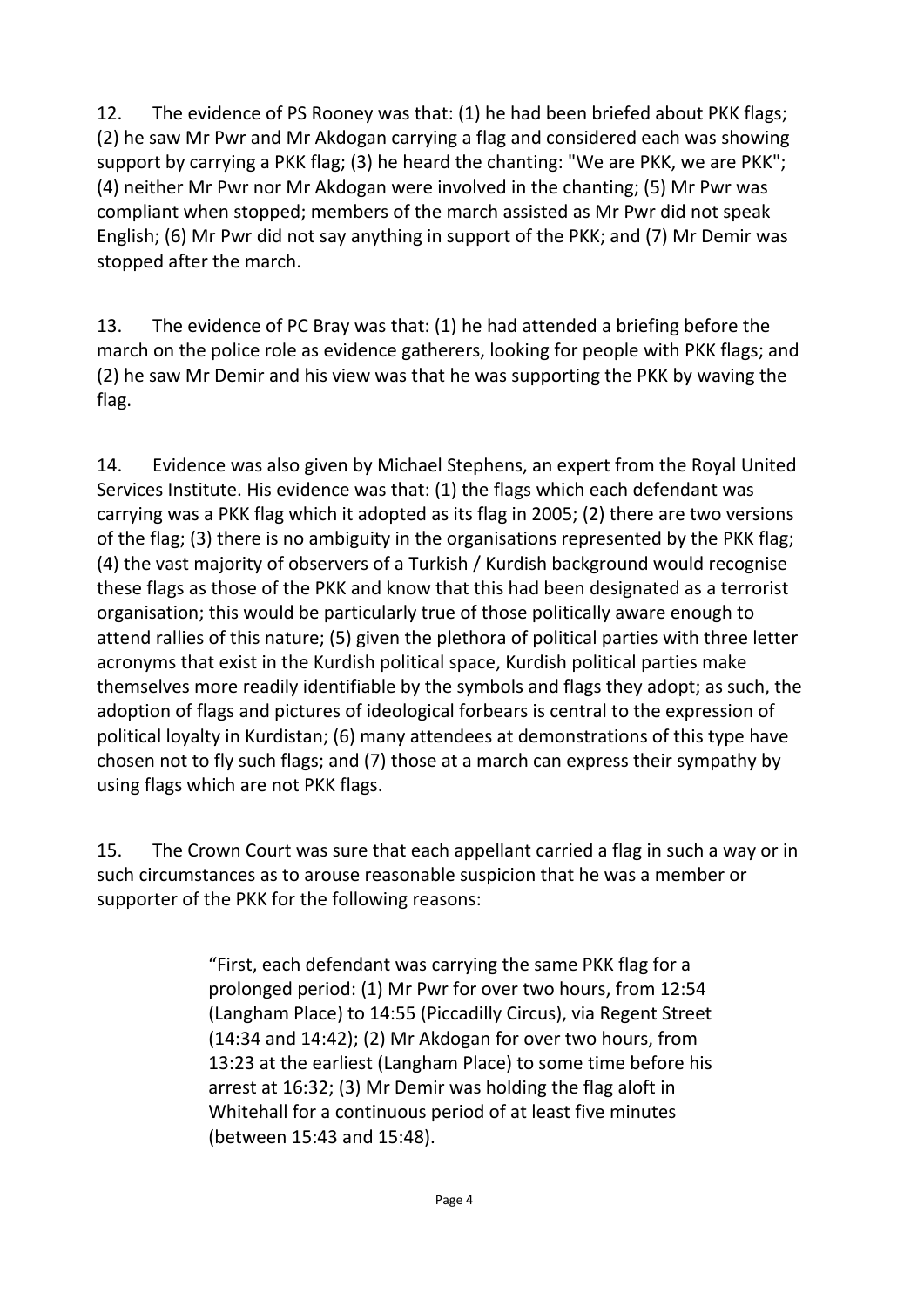12. The evidence of PS Rooney was that: (1) he had been briefed about PKK flags; (2) he saw Mr Pwr and Mr Akdogan carrying a flag and considered each was showing support by carrying a PKK flag; (3) he heard the chanting: "We are PKK, we are PKK"; (4) neither Mr Pwr nor Mr Akdogan were involved in the chanting; (5) Mr Pwr was compliant when stopped; members of the march assisted as Mr Pwr did not speak English; (6) Mr Pwr did not say anything in support of the PKK; and (7) Mr Demir was stopped after the march.

13. The evidence of PC Bray was that: (1) he had attended a briefing before the march on the police role as evidence gatherers, looking for people with PKK flags; and (2) he saw Mr Demir and his view was that he was supporting the PKK by waving the flag.

14. Evidence was also given by Michael Stephens, an expert from the Royal United Services Institute. His evidence was that: (1) the flags which each defendant was carrying was a PKK flag which it adopted as its flag in 2005; (2) there are two versions of the flag; (3) there is no ambiguity in the organisations represented by the PKK flag; (4) the vast majority of observers of a Turkish / Kurdish background would recognise these flags as those of the PKK and know that this had been designated as a terrorist organisation; this would be particularly true of those politically aware enough to attend rallies of this nature; (5) given the plethora of political parties with three letter acronyms that exist in the Kurdish political space, Kurdish political parties make themselves more readily identifiable by the symbols and flags they adopt; as such, the adoption of flags and pictures of ideological forbears is central to the expression of political loyalty in Kurdistan; (6) many attendees at demonstrations of this type have chosen not to fly such flags; and (7) those at a march can express their sympathy by using flags which are not PKK flags.

15. The Crown Court was sure that each appellant carried a flag in such a way or in such circumstances as to arouse reasonable suspicion that he was a member or supporter of the PKK for the following reasons:

> "First, each defendant was carrying the same PKK flag for a prolonged period: (1) Mr Pwr for over two hours, from 12:54 (Langham Place) to 14:55 (Piccadilly Circus), via Regent Street (14:34 and 14:42); (2) Mr Akdogan for over two hours, from 13:23 at the earliest (Langham Place) to some time before his arrest at 16:32; (3) Mr Demir was holding the flag aloft in Whitehall for a continuous period of at least five minutes (between 15:43 and 15:48).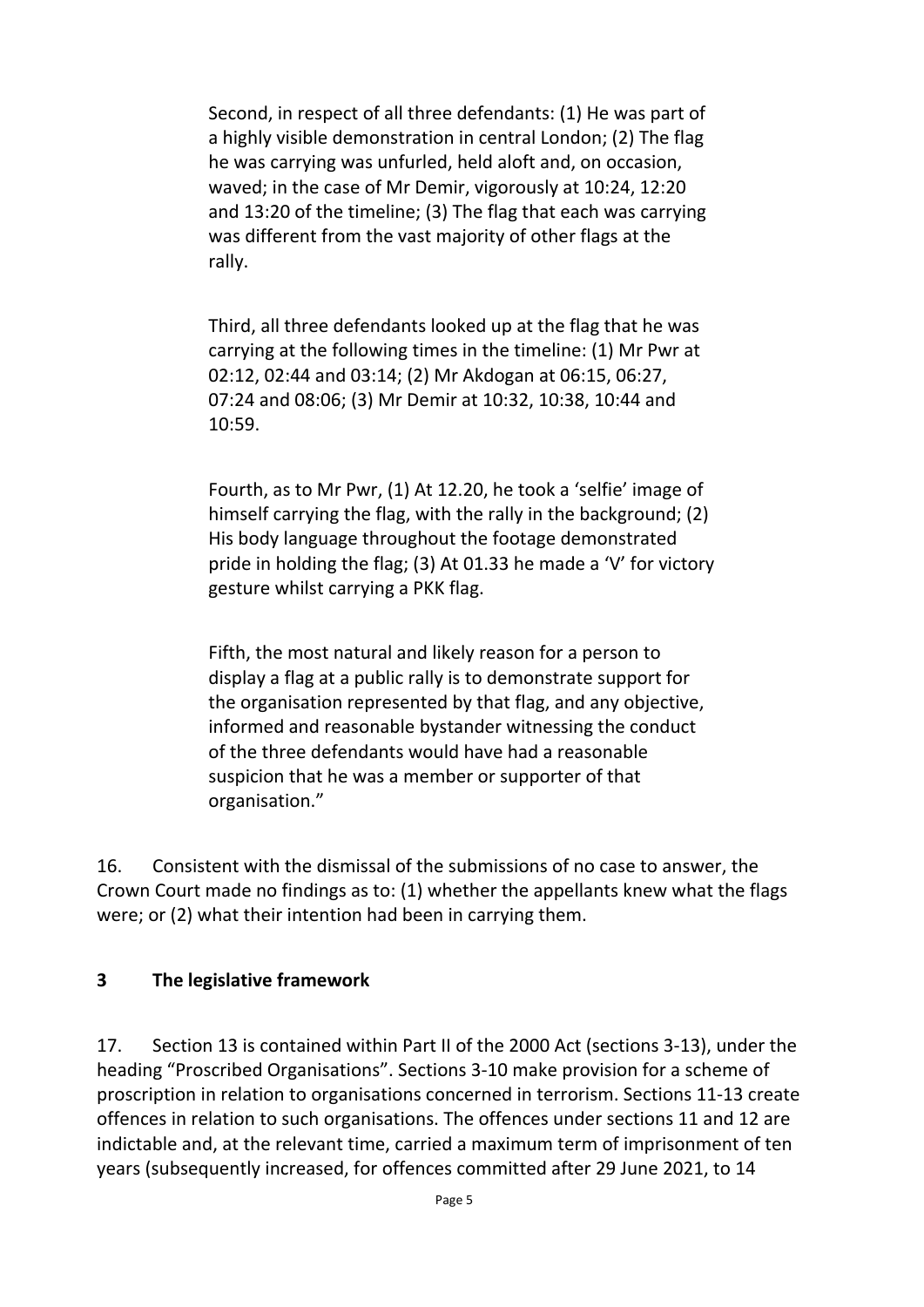Second, in respect of all three defendants: (1) He was part of a highly visible demonstration in central London; (2) The flag he was carrying was unfurled, held aloft and, on occasion, waved; in the case of Mr Demir, vigorously at 10:24, 12:20 and 13:20 of the timeline; (3) The flag that each was carrying was different from the vast majority of other flags at the rally.

Third, all three defendants looked up at the flag that he was carrying at the following times in the timeline: (1) Mr Pwr at 02:12, 02:44 and 03:14; (2) Mr Akdogan at 06:15, 06:27, 07:24 and 08:06; (3) Mr Demir at 10:32, 10:38, 10:44 and 10:59.

Fourth, as to Mr Pwr, (1) At 12.20, he took a 'selfie' image of himself carrying the flag, with the rally in the background; (2) His body language throughout the footage demonstrated pride in holding the flag; (3) At 01.33 he made a 'V' for victory gesture whilst carrying a PKK flag.

Fifth, the most natural and likely reason for a person to display a flag at a public rally is to demonstrate support for the organisation represented by that flag, and any objective, informed and reasonable bystander witnessing the conduct of the three defendants would have had a reasonable suspicion that he was a member or supporter of that organisation."

16. Consistent with the dismissal of the submissions of no case to answer, the Crown Court made no findings as to: (1) whether the appellants knew what the flags were; or (2) what their intention had been in carrying them.

## **3 The legislative framework**

17. Section 13 is contained within Part II of the 2000 Act (sections 3-13), under the heading "Proscribed Organisations". Sections 3-10 make provision for a scheme of proscription in relation to organisations concerned in terrorism. Sections 11-13 create offences in relation to such organisations. The offences under sections 11 and 12 are indictable and, at the relevant time, carried a maximum term of imprisonment of ten years (subsequently increased, for offences committed after 29 June 2021, to 14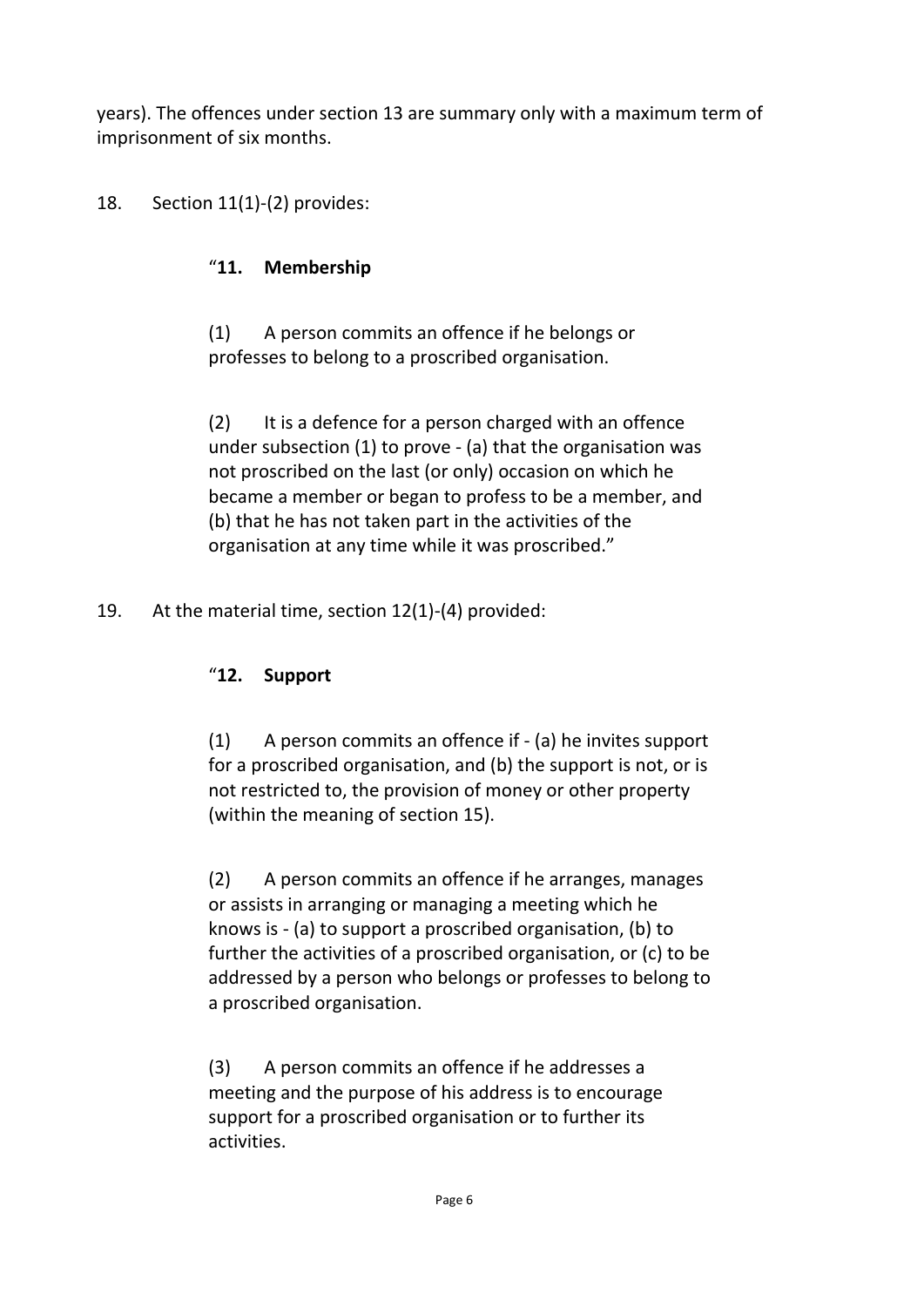years). The offences under section 13 are summary only with a maximum term of imprisonment of six months.

## 18. Section 11(1)-(2) provides:

#### "**11. Membership**

(1) A person commits an offence if he belongs or professes to belong to a proscribed organisation.

(2) It is a defence for a person charged with an offence under subsection (1) to prove - (a) that the organisation was not proscribed on the last (or only) occasion on which he became a member or began to profess to be a member, and (b) that he has not taken part in the activities of the organisation at any time while it was proscribed."

19. At the material time, section 12(1)-(4) provided:

#### "**12. Support**

(1) A person commits an offence if - (a) he invites support for a proscribed organisation, and (b) the support is not, or is not restricted to, the provision of money or other property (within the meaning of section 15).

(2) A person commits an offence if he arranges, manages or assists in arranging or managing a meeting which he knows is - (a) to support a proscribed organisation, (b) to further the activities of a proscribed organisation, or (c) to be addressed by a person who belongs or professes to belong to a proscribed organisation.

(3) A person commits an offence if he addresses a meeting and the purpose of his address is to encourage support for a proscribed organisation or to further its activities.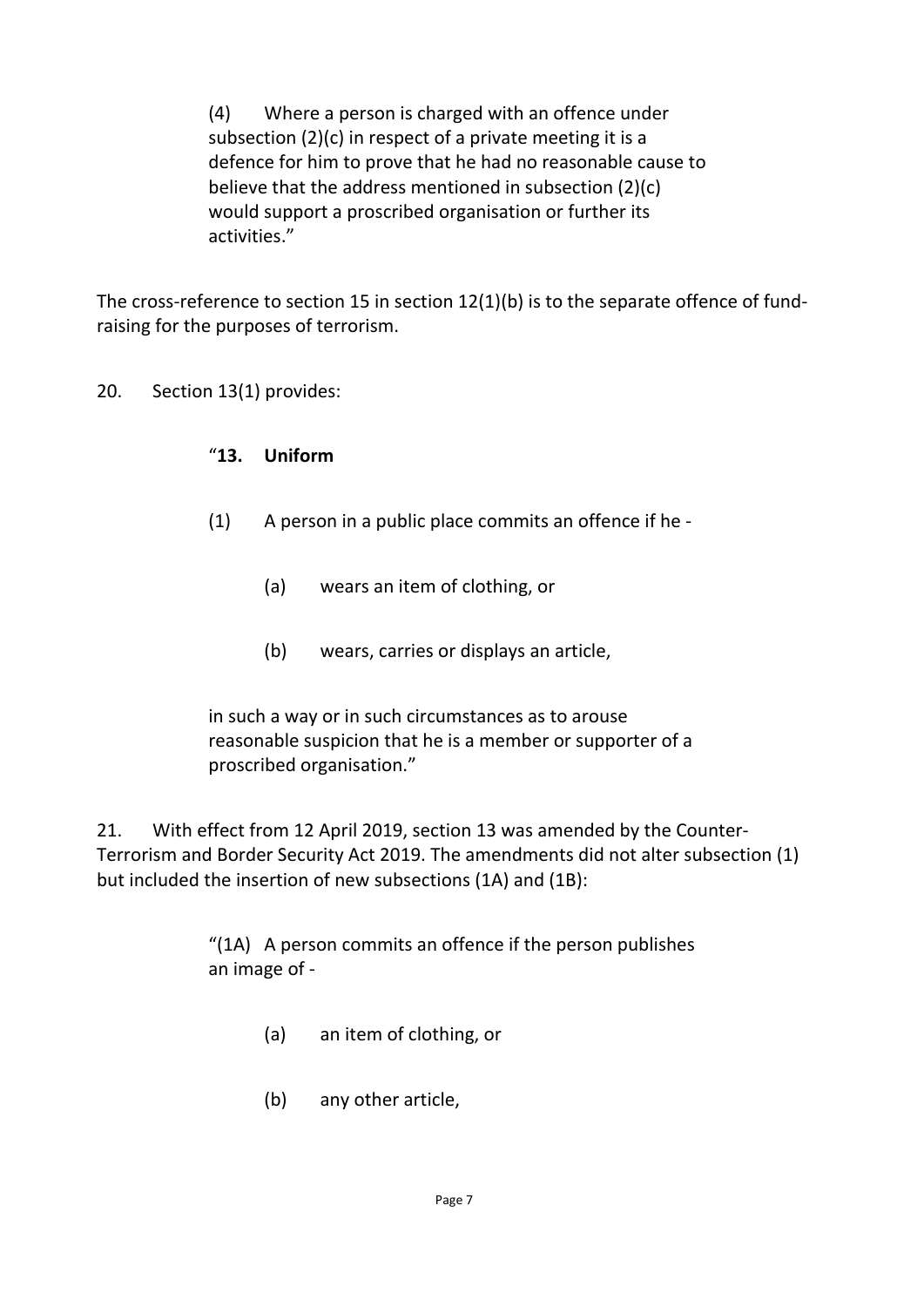(4) Where a person is charged with an offence under subsection (2)(c) in respect of a private meeting it is a defence for him to prove that he had no reasonable cause to believe that the address mentioned in subsection (2)(c) would support a proscribed organisation or further its activities."

The cross-reference to section 15 in section 12(1)(b) is to the separate offence of fundraising for the purposes of terrorism.

20. Section 13(1) provides:

#### "**13. Uniform**

- (1) A person in a public place commits an offence if he
	- (a) wears an item of clothing, or
	- (b) wears, carries or displays an article,

in such a way or in such circumstances as to arouse reasonable suspicion that he is a member or supporter of a proscribed organisation."

21. With effect from 12 April 2019, section 13 was amended by the Counter-Terrorism and Border Security Act 2019. The amendments did not alter subsection (1) but included the insertion of new subsections (1A) and (1B):

> "(1A) A person commits an offence if the person publishes an image of -

- (a) an item of clothing, or
- (b) any other article,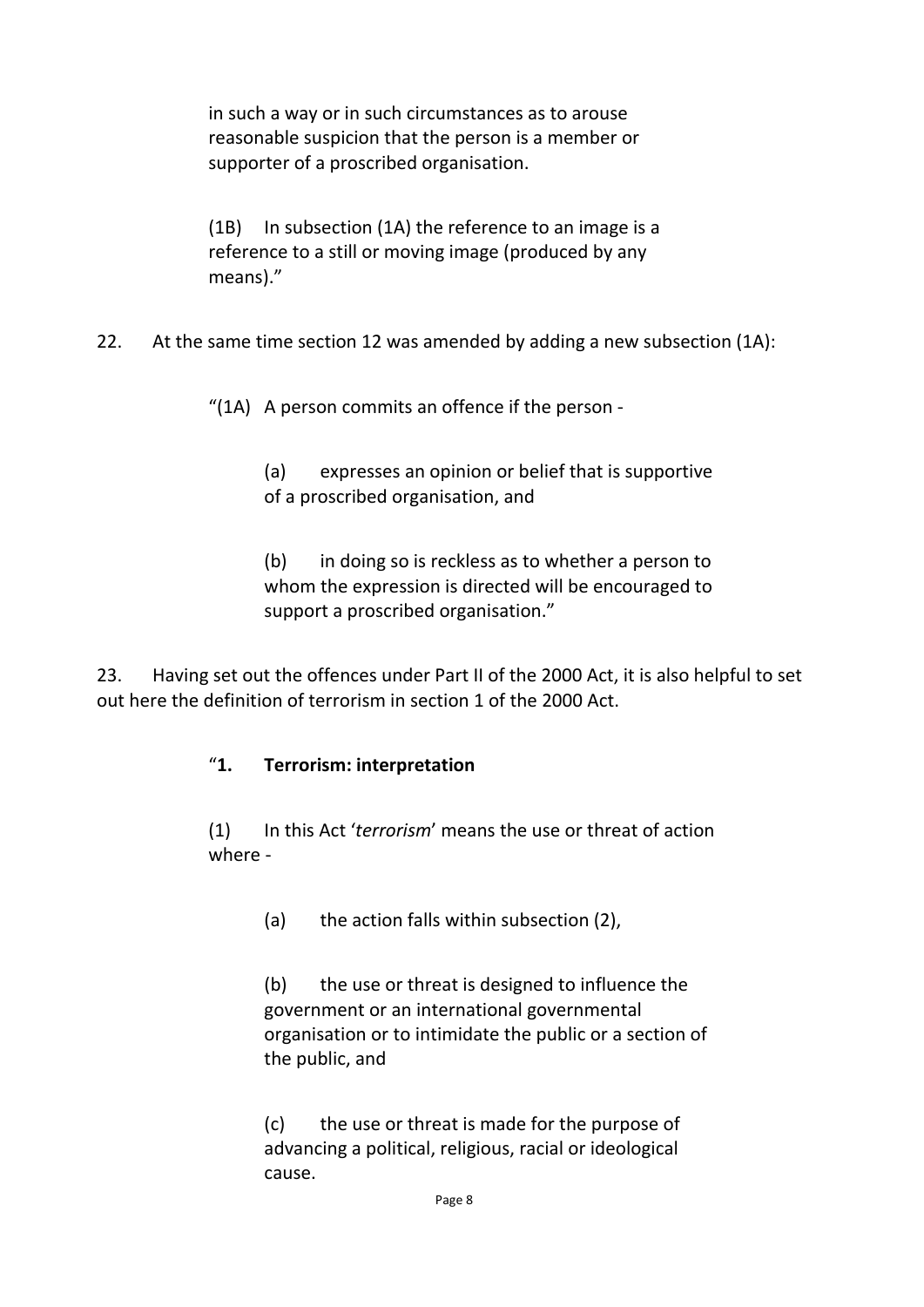in such a way or in such circumstances as to arouse reasonable suspicion that the person is a member or supporter of a proscribed organisation.

(1B) In subsection (1A) the reference to an image is a reference to a still or moving image (produced by any means)."

22. At the same time section 12 was amended by adding a new subsection (1A):

"(1A) A person commits an offence if the person -

(a) expresses an opinion or belief that is supportive of a proscribed organisation, and

(b) in doing so is reckless as to whether a person to whom the expression is directed will be encouraged to support a proscribed organisation."

23. Having set out the offences under Part II of the 2000 Act, it is also helpful to set out here the definition of terrorism in section 1 of the 2000 Act.

#### "**1. Terrorism: interpretation**

(1) In this Act '*terrorism*' means the use or threat of action where -

(a) the action falls within subsection (2),

(b) the use or threat is designed to influence the government or an international governmental organisation or to intimidate the public or a section of the public, and

(c) the use or threat is made for the purpose of advancing a political, religious, racial or ideological cause.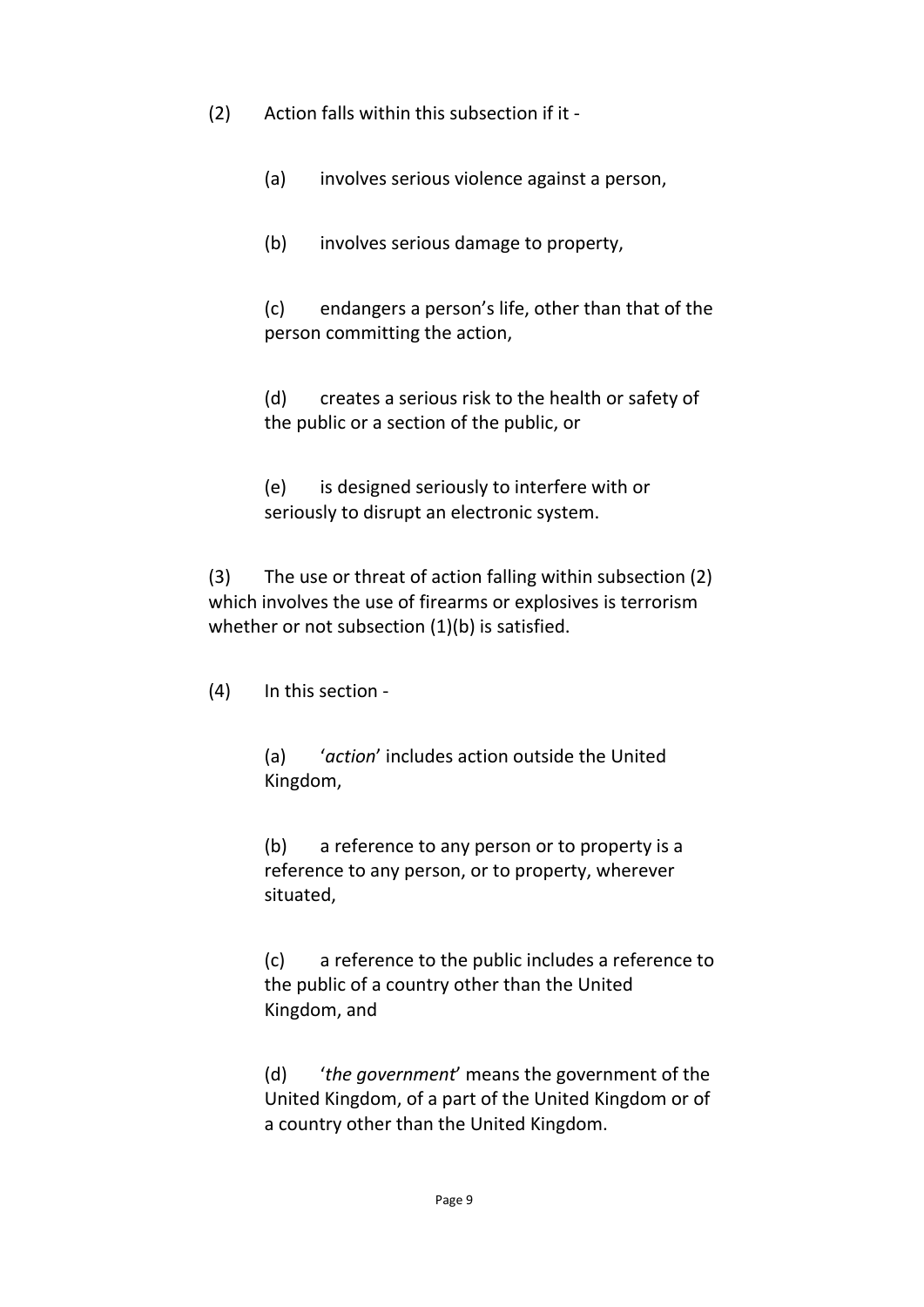(2) Action falls within this subsection if it -

(a) involves serious violence against a person,

(b) involves serious damage to property,

(c) endangers a person's life, other than that of the person committing the action,

(d) creates a serious risk to the health or safety of the public or a section of the public, or

(e) is designed seriously to interfere with or seriously to disrupt an electronic system.

(3) The use or threat of action falling within subsection (2) which involves the use of firearms or explosives is terrorism whether or not subsection (1)(b) is satisfied.

(4) In this section -

(a) '*action*' includes action outside the United Kingdom,

(b) a reference to any person or to property is a reference to any person, or to property, wherever situated,

(c) a reference to the public includes a reference to the public of a country other than the United Kingdom, and

(d) '*the government*' means the government of the United Kingdom, of a part of the United Kingdom or of a country other than the United Kingdom.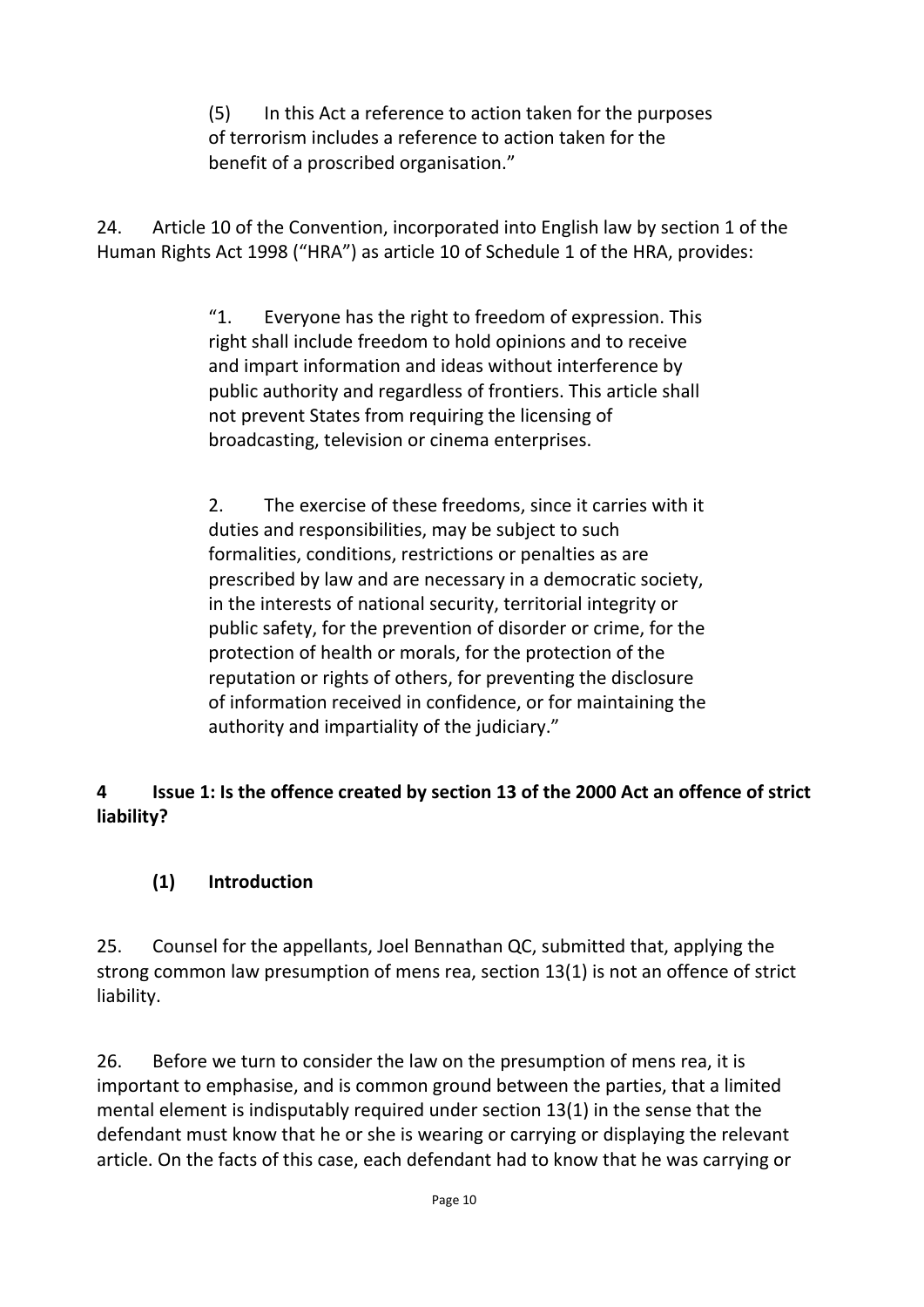(5) In this Act a reference to action taken for the purposes of terrorism includes a reference to action taken for the benefit of a proscribed organisation."

24. Article 10 of the Convention, incorporated into English law by section 1 of the Human Rights Act 1998 ("HRA") as article 10 of Schedule 1 of the HRA, provides:

> "1. Everyone has the right to freedom of expression. This right shall include freedom to hold opinions and to receive and impart information and ideas without interference by public authority and regardless of frontiers. This article shall not prevent States from requiring the licensing of broadcasting, television or cinema enterprises.

2. The exercise of these freedoms, since it carries with it duties and responsibilities, may be subject to such formalities, conditions, restrictions or penalties as are prescribed by law and are necessary in a democratic society, in the interests of national security, territorial integrity or public safety, for the prevention of disorder or crime, for the protection of health or morals, for the protection of the reputation or rights of others, for preventing the disclosure of information received in confidence, or for maintaining the authority and impartiality of the judiciary."

## **4 Issue 1: Is the offence created by section 13 of the 2000 Act an offence of strict liability?**

## **(1) Introduction**

25. Counsel for the appellants, Joel Bennathan QC, submitted that, applying the strong common law presumption of mens rea, section 13(1) is not an offence of strict liability.

26. Before we turn to consider the law on the presumption of mens rea, it is important to emphasise, and is common ground between the parties, that a limited mental element is indisputably required under section 13(1) in the sense that the defendant must know that he or she is wearing or carrying or displaying the relevant article. On the facts of this case, each defendant had to know that he was carrying or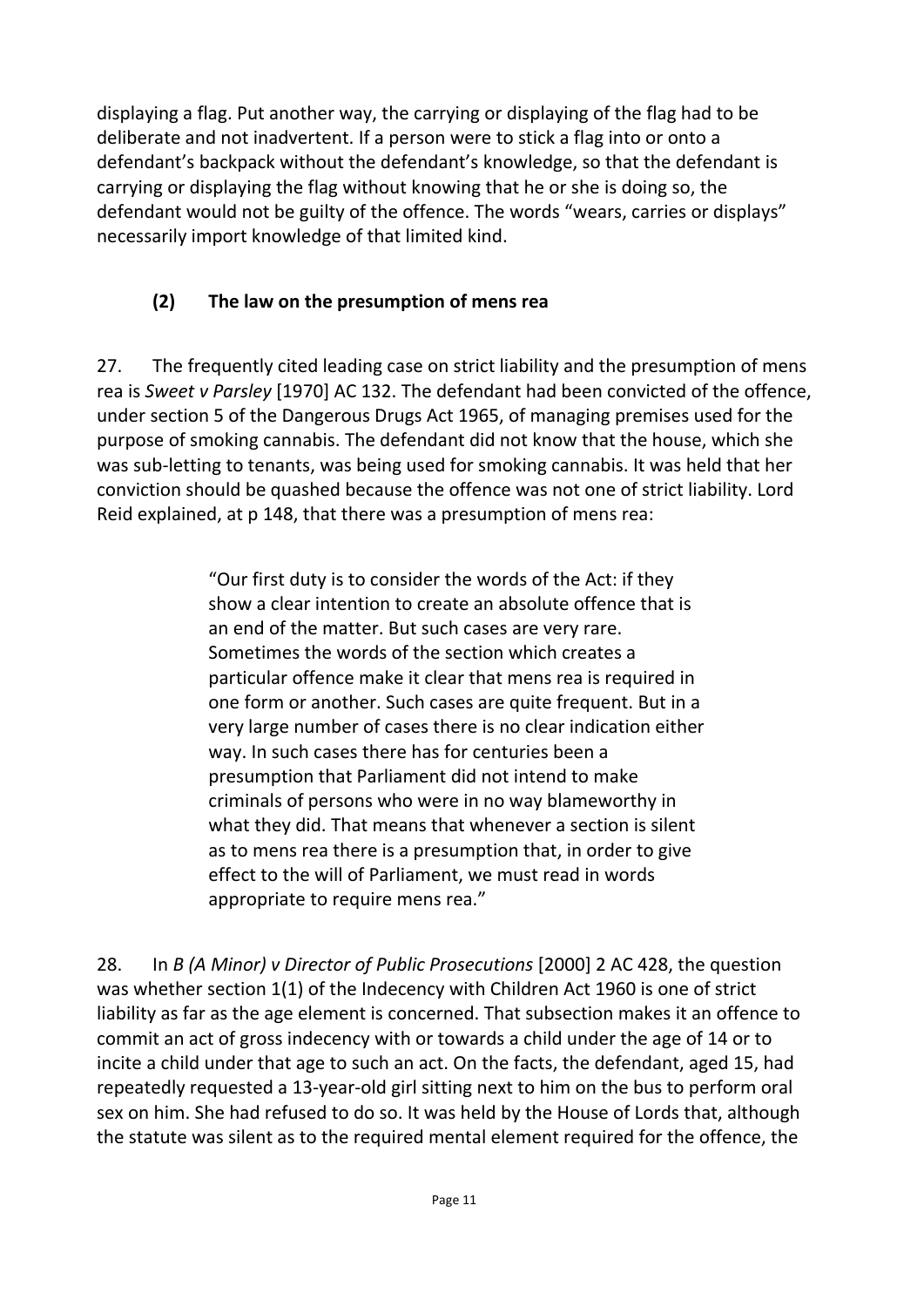displaying a flag. Put another way, the carrying or displaying of the flag had to be deliberate and not inadvertent. If a person were to stick a flag into or onto a defendant's backpack without the defendant's knowledge, so that the defendant is carrying or displaying the flag without knowing that he or she is doing so, the defendant would not be guilty of the offence. The words "wears, carries or displays" necessarily import knowledge of that limited kind.

## **(2) The law on the presumption of mens rea**

27. The frequently cited leading case on strict liability and the presumption of mens rea is *Sweet v Parsley* [1970] AC 132. The defendant had been convicted of the offence, under section 5 of the Dangerous Drugs Act 1965, of managing premises used for the purpose of smoking cannabis. The defendant did not know that the house, which she was sub-letting to tenants, was being used for smoking cannabis. It was held that her conviction should be quashed because the offence was not one of strict liability. Lord Reid explained, at p 148, that there was a presumption of mens rea:

> "Our first duty is to consider the words of the Act: if they show a clear intention to create an absolute offence that is an end of the matter. But such cases are very rare. Sometimes the words of the section which creates a particular offence make it clear that mens rea is required in one form or another. Such cases are quite frequent. But in a very large number of cases there is no clear indication either way. In such cases there has for centuries been a presumption that Parliament did not intend to make criminals of persons who were in no way blameworthy in what they did. That means that whenever a section is silent as to mens rea there is a presumption that, in order to give effect to the will of Parliament, we must read in words appropriate to require mens rea."

28. In *B (A Minor) v Director of Public Prosecutions* [2000] 2 AC 428, the question was whether section 1(1) of the Indecency with Children Act 1960 is one of strict liability as far as the age element is concerned. That subsection makes it an offence to commit an act of gross indecency with or towards a child under the age of 14 or to incite a child under that age to such an act. On the facts, the defendant, aged 15, had repeatedly requested a 13-year-old girl sitting next to him on the bus to perform oral sex on him. She had refused to do so. It was held by the House of Lords that, although the statute was silent as to the required mental element required for the offence, the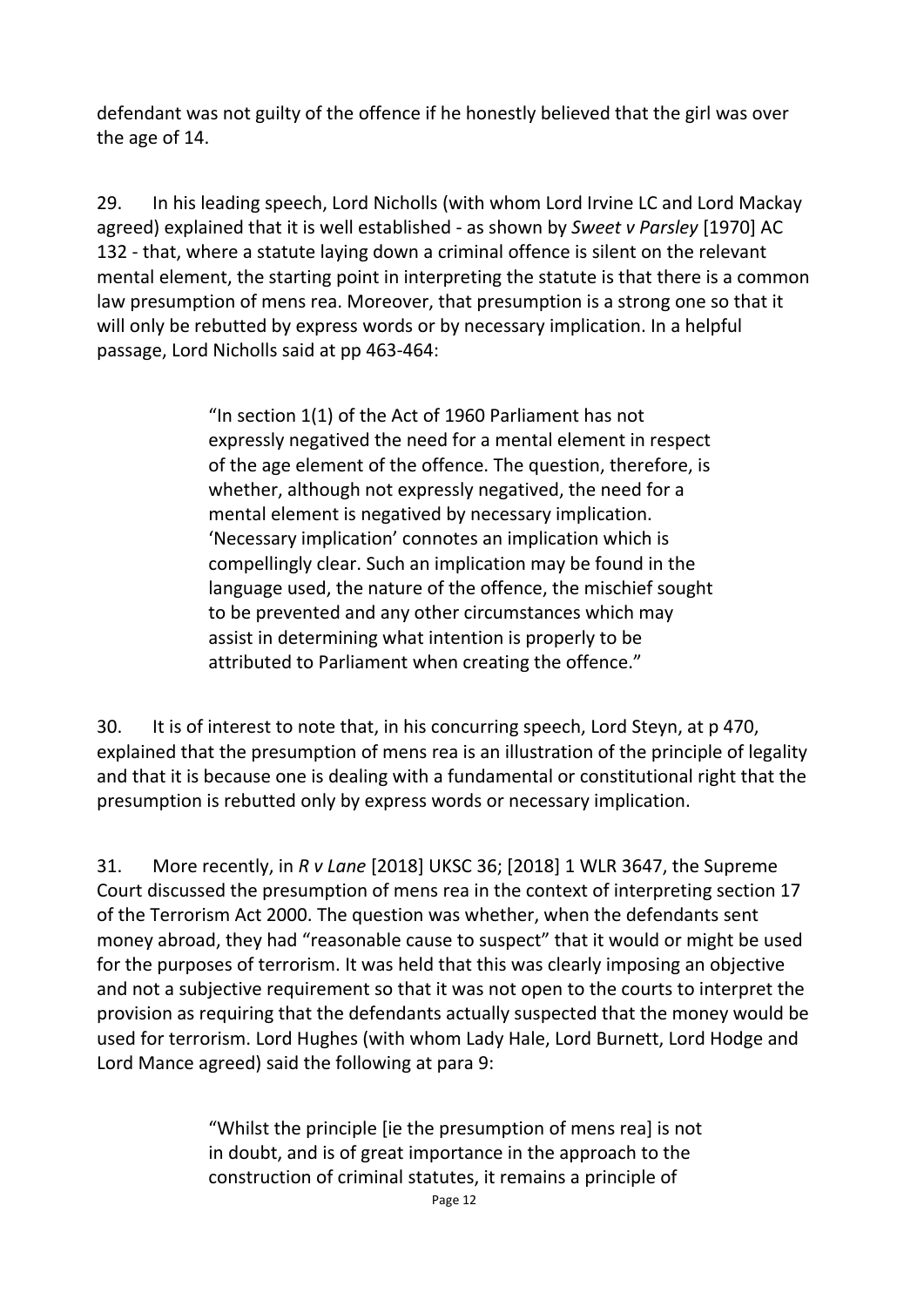defendant was not guilty of the offence if he honestly believed that the girl was over the age of 14.

29. In his leading speech, Lord Nicholls (with whom Lord Irvine LC and Lord Mackay agreed) explained that it is well established - as shown by *Sweet v Parsley* [1970] AC 132 - that, where a statute laying down a criminal offence is silent on the relevant mental element, the starting point in interpreting the statute is that there is a common law presumption of mens rea. Moreover, that presumption is a strong one so that it will only be rebutted by express words or by necessary implication. In a helpful passage, Lord Nicholls said at pp 463-464:

> "In section 1(1) of the Act of 1960 Parliament has not expressly negatived the need for a mental element in respect of the age element of the offence. The question, therefore, is whether, although not expressly negatived, the need for a mental element is negatived by necessary implication. 'Necessary implication' connotes an implication which is compellingly clear. Such an implication may be found in the language used, the nature of the offence, the mischief sought to be prevented and any other circumstances which may assist in determining what intention is properly to be attributed to Parliament when creating the offence."

30. It is of interest to note that, in his concurring speech, Lord Steyn, at p 470, explained that the presumption of mens rea is an illustration of the principle of legality and that it is because one is dealing with a fundamental or constitutional right that the presumption is rebutted only by express words or necessary implication.

31. More recently, in *R v Lane* [2018] UKSC 36; [2018] 1 WLR 3647, the Supreme Court discussed the presumption of mens rea in the context of interpreting section 17 of the Terrorism Act 2000. The question was whether, when the defendants sent money abroad, they had "reasonable cause to suspect" that it would or might be used for the purposes of terrorism. It was held that this was clearly imposing an objective and not a subjective requirement so that it was not open to the courts to interpret the provision as requiring that the defendants actually suspected that the money would be used for terrorism. Lord Hughes (with whom Lady Hale, Lord Burnett, Lord Hodge and Lord Mance agreed) said the following at para 9:

> "Whilst the principle [ie the presumption of mens rea] is not in doubt, and is of great importance in the approach to the construction of criminal statutes, it remains a principle of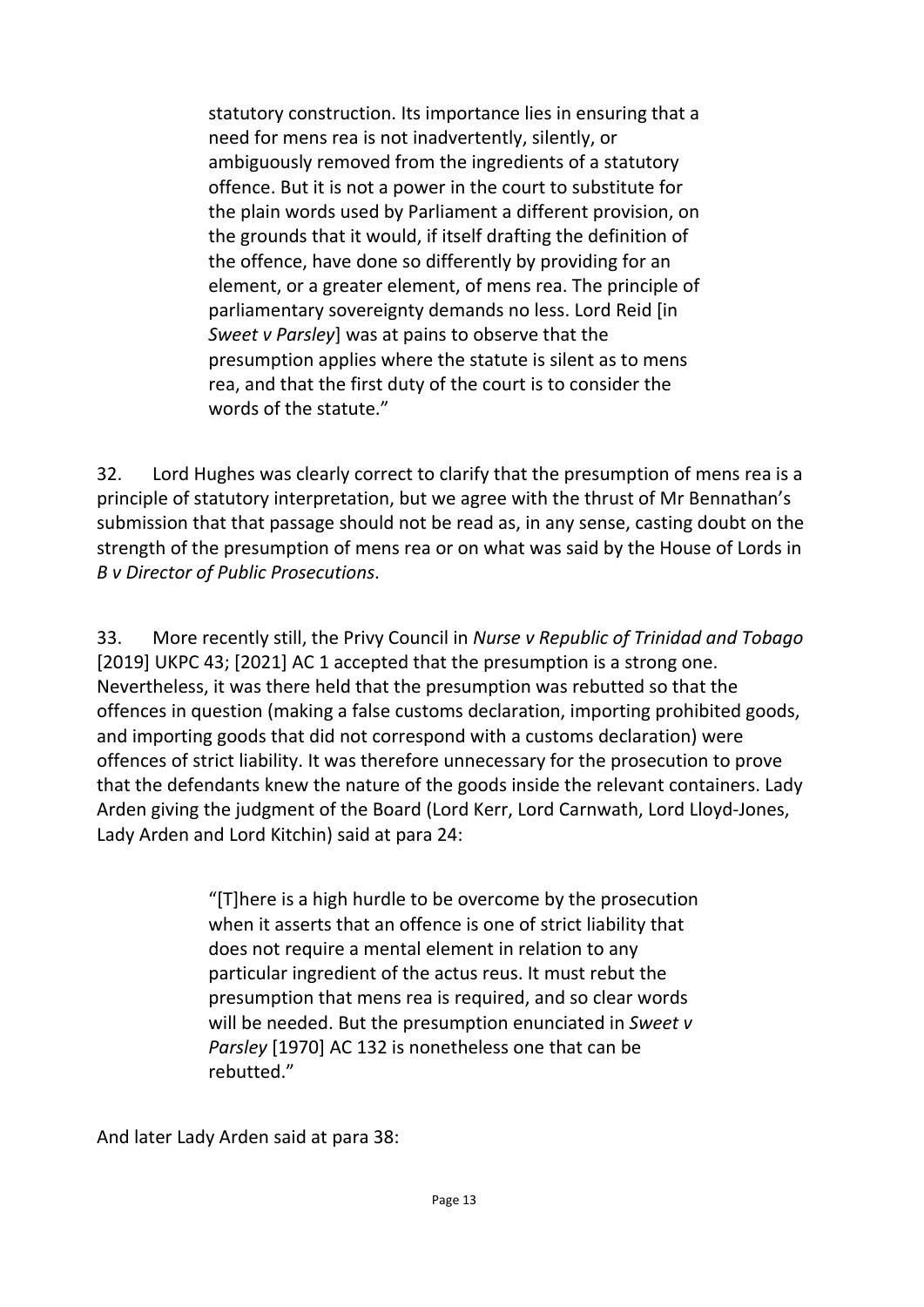statutory construction. Its importance lies in ensuring that a need for mens rea is not inadvertently, silently, or ambiguously removed from the ingredients of a statutory offence. But it is not a power in the court to substitute for the plain words used by Parliament a different provision, on the grounds that it would, if itself drafting the definition of the offence, have done so differently by providing for an element, or a greater element, of mens rea. The principle of parliamentary sovereignty demands no less. Lord Reid [in *Sweet v Parsley*] was at pains to observe that the presumption applies where the statute is silent as to mens rea, and that the first duty of the court is to consider the words of the statute."

32. Lord Hughes was clearly correct to clarify that the presumption of mens rea is a principle of statutory interpretation, but we agree with the thrust of Mr Bennathan's submission that that passage should not be read as, in any sense, casting doubt on the strength of the presumption of mens rea or on what was said by the House of Lords in *B v Director of Public Prosecutions*.

33. More recently still, the Privy Council in *Nurse v Republic of Trinidad and Tobago*  [2019] UKPC 43; [2021] AC 1 accepted that the presumption is a strong one. Nevertheless, it was there held that the presumption was rebutted so that the offences in question (making a false customs declaration, importing prohibited goods, and importing goods that did not correspond with a customs declaration) were offences of strict liability. It was therefore unnecessary for the prosecution to prove that the defendants knew the nature of the goods inside the relevant containers. Lady Arden giving the judgment of the Board (Lord Kerr, Lord Carnwath, Lord Lloyd-Jones, Lady Arden and Lord Kitchin) said at para 24:

> "[T]here is a high hurdle to be overcome by the prosecution when it asserts that an offence is one of strict liability that does not require a mental element in relation to any particular ingredient of the actus reus. It must rebut the presumption that mens rea is required, and so clear words will be needed. But the presumption enunciated in *Sweet v Parsley* [1970] AC 132 is nonetheless one that can be rebutted."

And later Lady Arden said at para 38: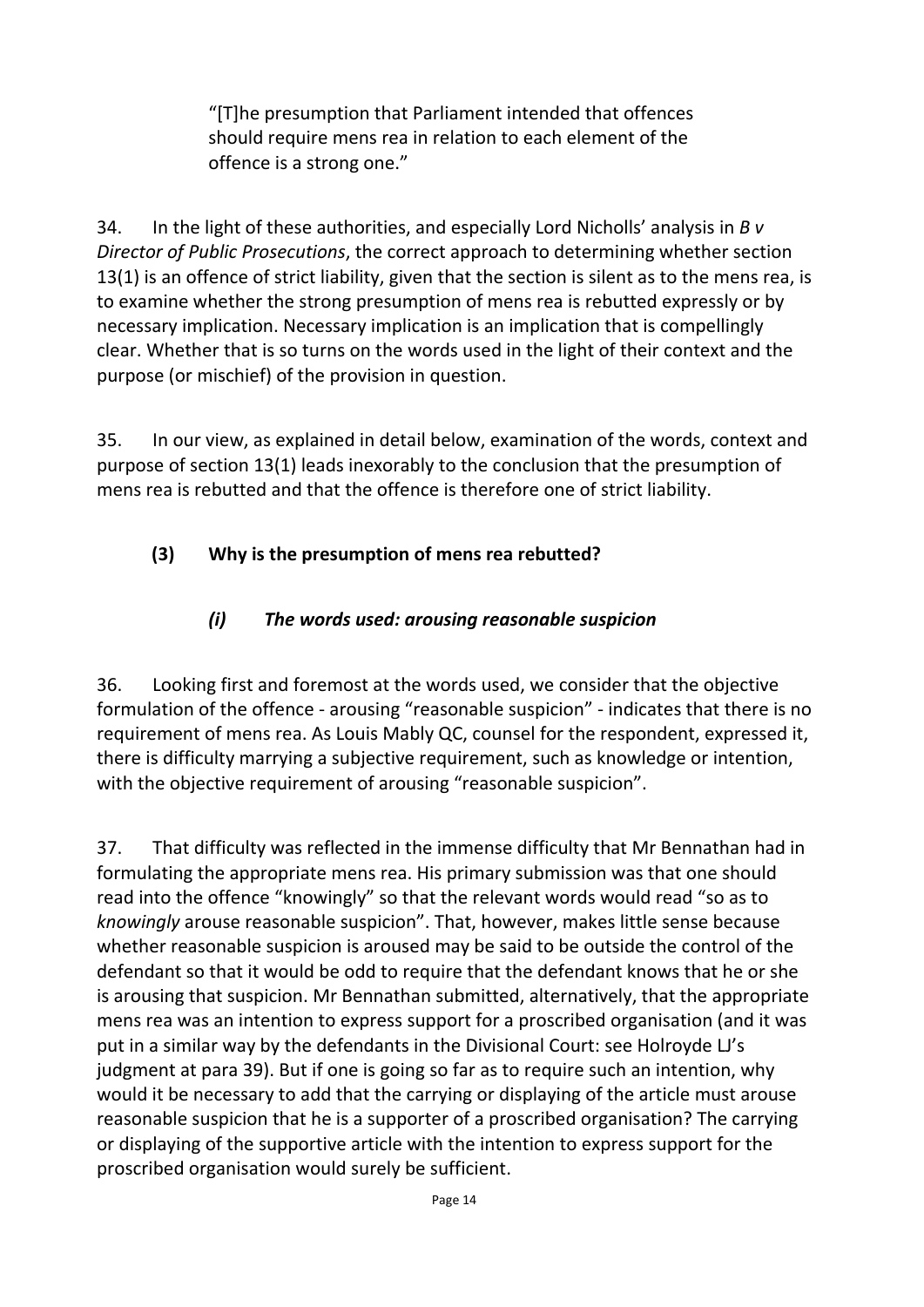"[T]he presumption that Parliament intended that offences should require mens rea in relation to each element of the offence is a strong one."

34. In the light of these authorities, and especially Lord Nicholls' analysis in *B v Director of Public Prosecutions*, the correct approach to determining whether section 13(1) is an offence of strict liability, given that the section is silent as to the mens rea, is to examine whether the strong presumption of mens rea is rebutted expressly or by necessary implication. Necessary implication is an implication that is compellingly clear. Whether that is so turns on the words used in the light of their context and the purpose (or mischief) of the provision in question.

35. In our view, as explained in detail below, examination of the words, context and purpose of section 13(1) leads inexorably to the conclusion that the presumption of mens rea is rebutted and that the offence is therefore one of strict liability.

## **(3) Why is the presumption of mens rea rebutted?**

## *(i) The words used: arousing reasonable suspicion*

36. Looking first and foremost at the words used, we consider that the objective formulation of the offence - arousing "reasonable suspicion" - indicates that there is no requirement of mens rea. As Louis Mably QC, counsel for the respondent, expressed it, there is difficulty marrying a subjective requirement, such as knowledge or intention, with the objective requirement of arousing "reasonable suspicion".

37. That difficulty was reflected in the immense difficulty that Mr Bennathan had in formulating the appropriate mens rea. His primary submission was that one should read into the offence "knowingly" so that the relevant words would read "so as to *knowingly* arouse reasonable suspicion". That, however, makes little sense because whether reasonable suspicion is aroused may be said to be outside the control of the defendant so that it would be odd to require that the defendant knows that he or she is arousing that suspicion. Mr Bennathan submitted, alternatively, that the appropriate mens rea was an intention to express support for a proscribed organisation (and it was put in a similar way by the defendants in the Divisional Court: see Holroyde LJ's judgment at para 39). But if one is going so far as to require such an intention, why would it be necessary to add that the carrying or displaying of the article must arouse reasonable suspicion that he is a supporter of a proscribed organisation? The carrying or displaying of the supportive article with the intention to express support for the proscribed organisation would surely be sufficient.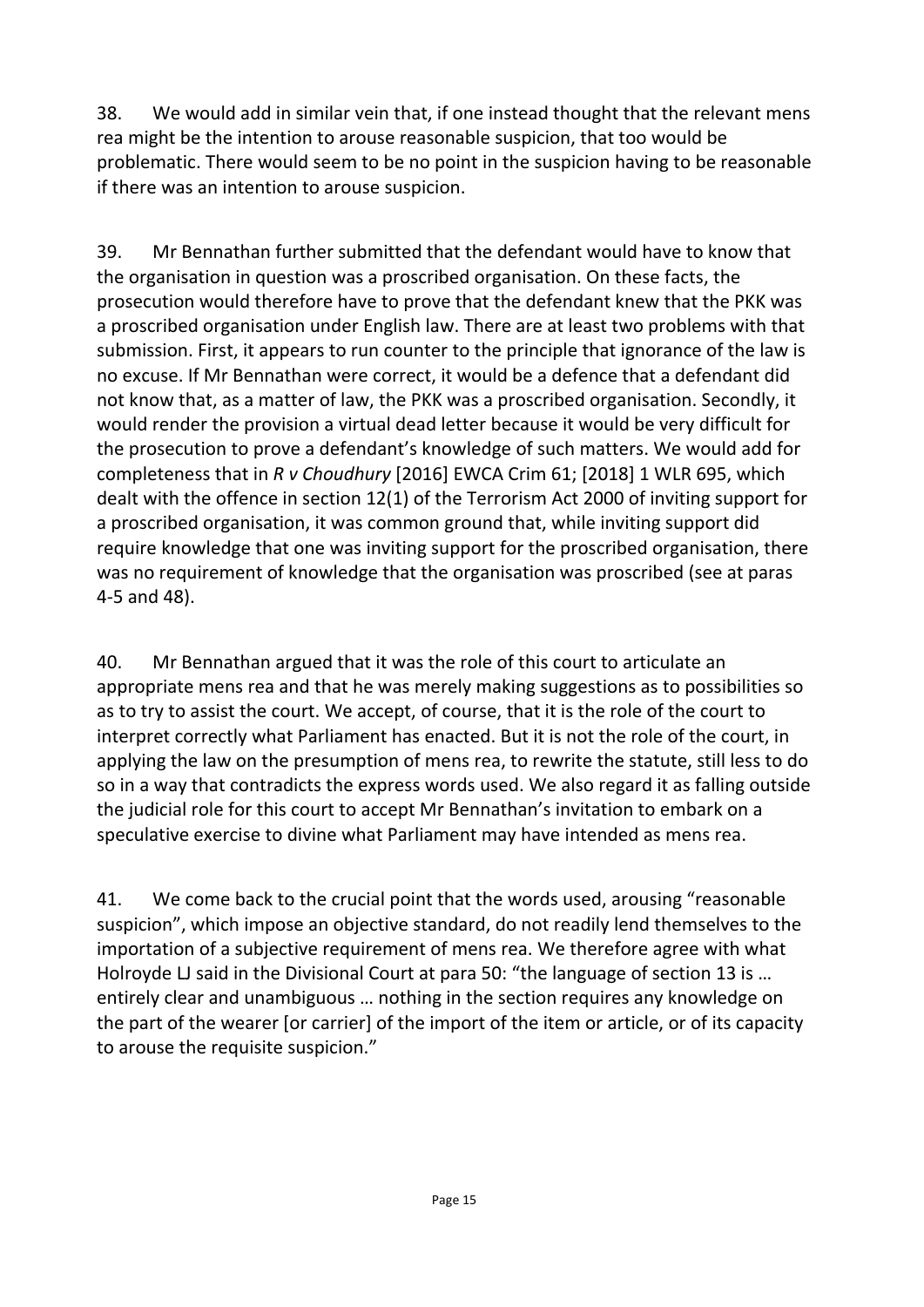38. We would add in similar vein that, if one instead thought that the relevant mens rea might be the intention to arouse reasonable suspicion, that too would be problematic. There would seem to be no point in the suspicion having to be reasonable if there was an intention to arouse suspicion.

39. Mr Bennathan further submitted that the defendant would have to know that the organisation in question was a proscribed organisation. On these facts, the prosecution would therefore have to prove that the defendant knew that the PKK was a proscribed organisation under English law. There are at least two problems with that submission. First, it appears to run counter to the principle that ignorance of the law is no excuse. If Mr Bennathan were correct, it would be a defence that a defendant did not know that, as a matter of law, the PKK was a proscribed organisation. Secondly, it would render the provision a virtual dead letter because it would be very difficult for the prosecution to prove a defendant's knowledge of such matters. We would add for completeness that in *R v Choudhury* [2016] EWCA Crim 61; [2018] 1 WLR 695, which dealt with the offence in section 12(1) of the Terrorism Act 2000 of inviting support for a proscribed organisation, it was common ground that, while inviting support did require knowledge that one was inviting support for the proscribed organisation, there was no requirement of knowledge that the organisation was proscribed (see at paras 4-5 and 48).

40. Mr Bennathan argued that it was the role of this court to articulate an appropriate mens rea and that he was merely making suggestions as to possibilities so as to try to assist the court. We accept, of course, that it is the role of the court to interpret correctly what Parliament has enacted. But it is not the role of the court, in applying the law on the presumption of mens rea, to rewrite the statute, still less to do so in a way that contradicts the express words used. We also regard it as falling outside the judicial role for this court to accept Mr Bennathan's invitation to embark on a speculative exercise to divine what Parliament may have intended as mens rea.

41. We come back to the crucial point that the words used, arousing "reasonable suspicion", which impose an objective standard, do not readily lend themselves to the importation of a subjective requirement of mens rea. We therefore agree with what Holroyde LJ said in the Divisional Court at para 50: "the language of section 13 is … entirely clear and unambiguous … nothing in the section requires any knowledge on the part of the wearer [or carrier] of the import of the item or article, or of its capacity to arouse the requisite suspicion."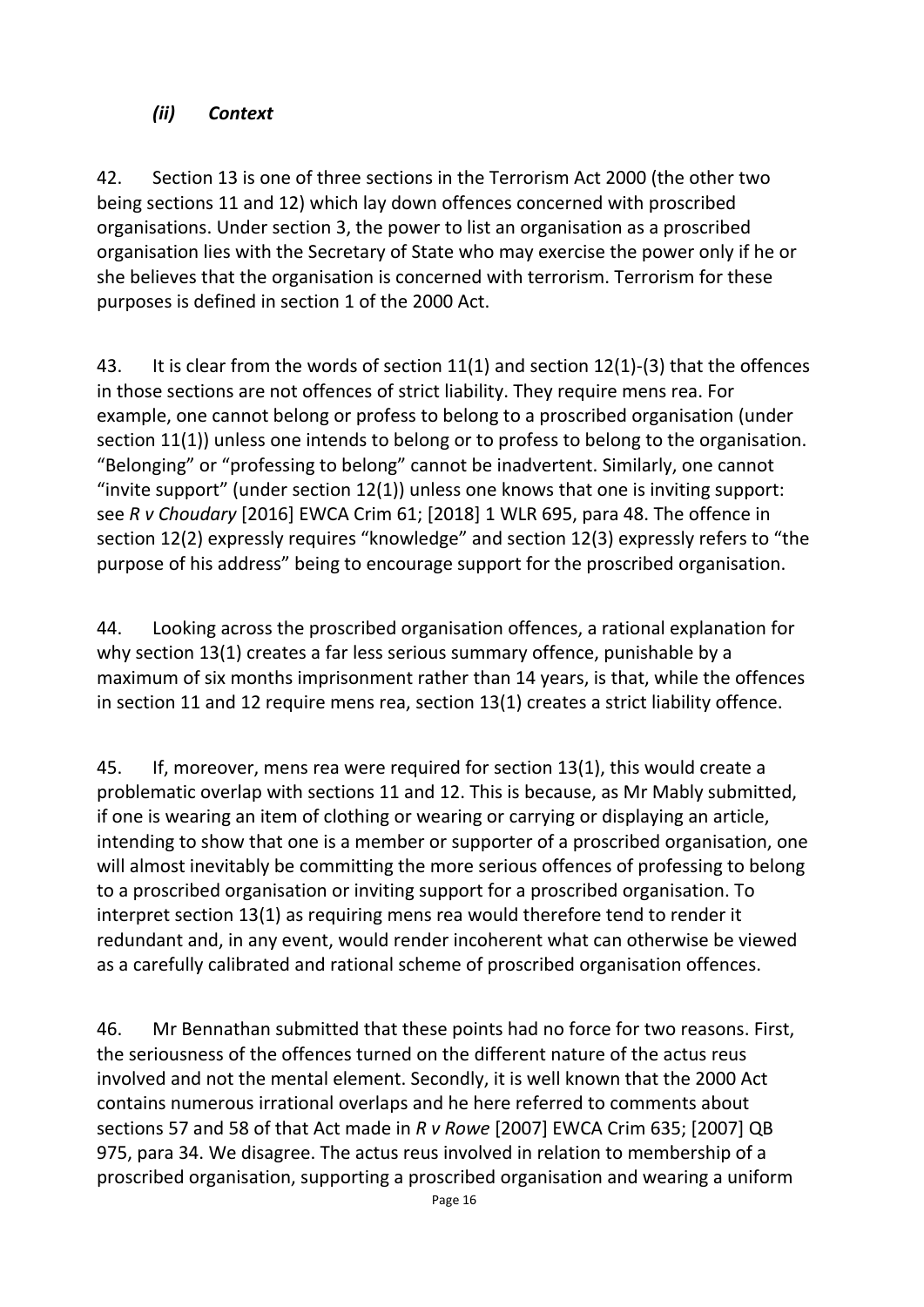## *(ii) Context*

42. Section 13 is one of three sections in the Terrorism Act 2000 (the other two being sections 11 and 12) which lay down offences concerned with proscribed organisations. Under section 3, the power to list an organisation as a proscribed organisation lies with the Secretary of State who may exercise the power only if he or she believes that the organisation is concerned with terrorism. Terrorism for these purposes is defined in section 1 of the 2000 Act.

43. It is clear from the words of section 11(1) and section 12(1)-(3) that the offences in those sections are not offences of strict liability. They require mens rea. For example, one cannot belong or profess to belong to a proscribed organisation (under section 11(1)) unless one intends to belong or to profess to belong to the organisation. "Belonging" or "professing to belong" cannot be inadvertent. Similarly, one cannot "invite support" (under section  $12(1)$ ) unless one knows that one is inviting support: see *R v Choudary* [2016] EWCA Crim 61; [2018] 1 WLR 695, para 48. The offence in section 12(2) expressly requires "knowledge" and section 12(3) expressly refers to "the purpose of his address" being to encourage support for the proscribed organisation.

44. Looking across the proscribed organisation offences, a rational explanation for why section 13(1) creates a far less serious summary offence, punishable by a maximum of six months imprisonment rather than 14 years, is that, while the offences in section 11 and 12 require mens rea, section 13(1) creates a strict liability offence.

45. If, moreover, mens rea were required for section 13(1), this would create a problematic overlap with sections 11 and 12. This is because, as Mr Mably submitted, if one is wearing an item of clothing or wearing or carrying or displaying an article, intending to show that one is a member or supporter of a proscribed organisation, one will almost inevitably be committing the more serious offences of professing to belong to a proscribed organisation or inviting support for a proscribed organisation. To interpret section 13(1) as requiring mens rea would therefore tend to render it redundant and, in any event, would render incoherent what can otherwise be viewed as a carefully calibrated and rational scheme of proscribed organisation offences.

46. Mr Bennathan submitted that these points had no force for two reasons. First, the seriousness of the offences turned on the different nature of the actus reus involved and not the mental element. Secondly, it is well known that the 2000 Act contains numerous irrational overlaps and he here referred to comments about sections 57 and 58 of that Act made in *R v Rowe* [2007] EWCA Crim 635; [2007] QB 975, para 34. We disagree. The actus reus involved in relation to membership of a proscribed organisation, supporting a proscribed organisation and wearing a uniform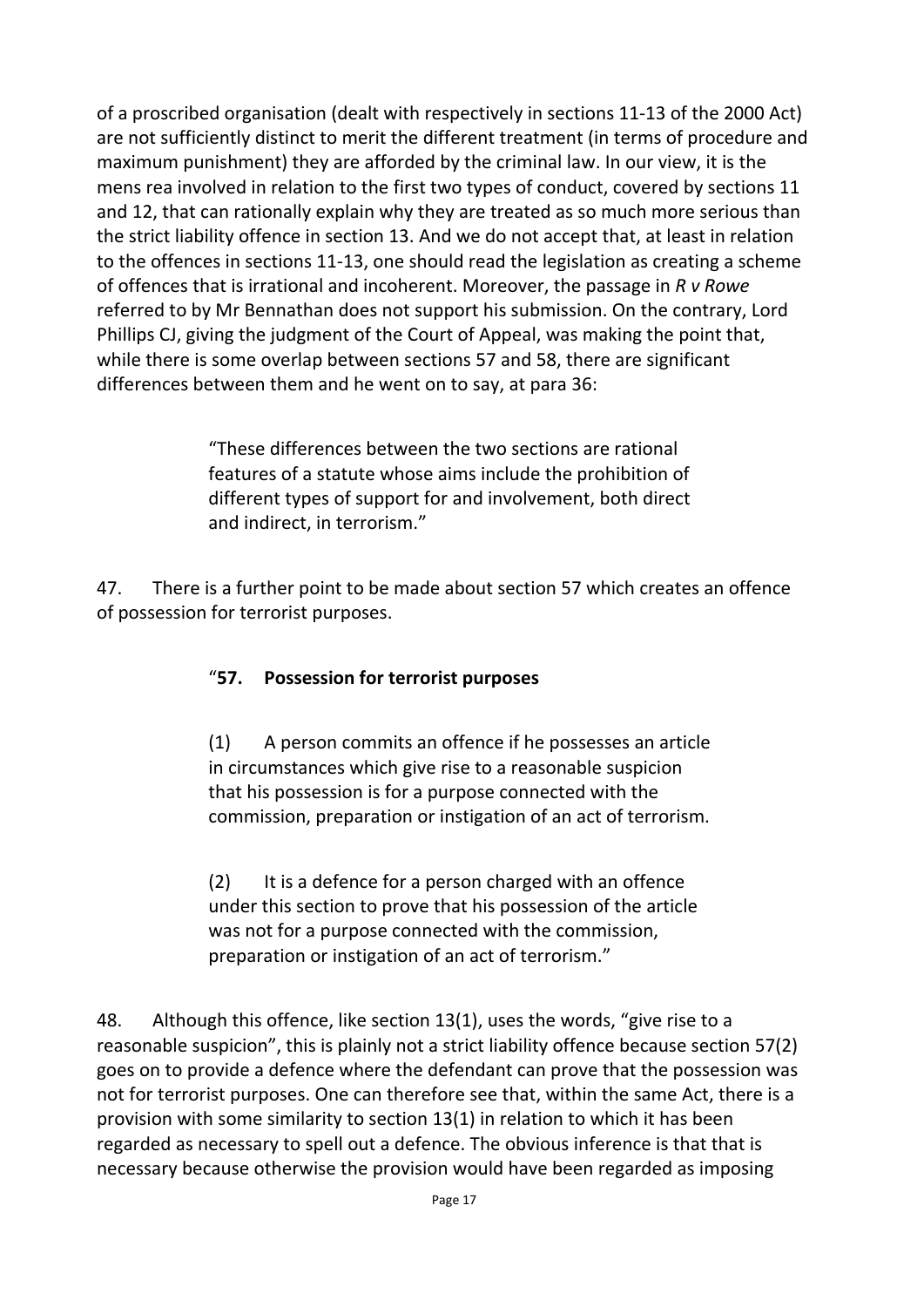of a proscribed organisation (dealt with respectively in sections 11-13 of the 2000 Act) are not sufficiently distinct to merit the different treatment (in terms of procedure and maximum punishment) they are afforded by the criminal law. In our view, it is the mens rea involved in relation to the first two types of conduct, covered by sections 11 and 12, that can rationally explain why they are treated as so much more serious than the strict liability offence in section 13. And we do not accept that, at least in relation to the offences in sections 11-13, one should read the legislation as creating a scheme of offences that is irrational and incoherent. Moreover, the passage in *R v Rowe*  referred to by Mr Bennathan does not support his submission. On the contrary, Lord Phillips CJ, giving the judgment of the Court of Appeal, was making the point that, while there is some overlap between sections 57 and 58, there are significant differences between them and he went on to say, at para 36:

> "These differences between the two sections are rational features of a statute whose aims include the prohibition of different types of support for and involvement, both direct and indirect, in terrorism."

47. There is a further point to be made about section 57 which creates an offence of possession for terrorist purposes.

## "**57. Possession for terrorist purposes**

(1) A person commits an offence if he possesses an article in circumstances which give rise to a reasonable suspicion that his possession is for a purpose connected with the commission, preparation or instigation of an act of terrorism.

(2) It is a defence for a person charged with an offence under this section to prove that his possession of the article was not for a purpose connected with the commission, preparation or instigation of an act of terrorism."

48. Although this offence, like section 13(1), uses the words, "give rise to a reasonable suspicion", this is plainly not a strict liability offence because section 57(2) goes on to provide a defence where the defendant can prove that the possession was not for terrorist purposes. One can therefore see that, within the same Act, there is a provision with some similarity to section 13(1) in relation to which it has been regarded as necessary to spell out a defence. The obvious inference is that that is necessary because otherwise the provision would have been regarded as imposing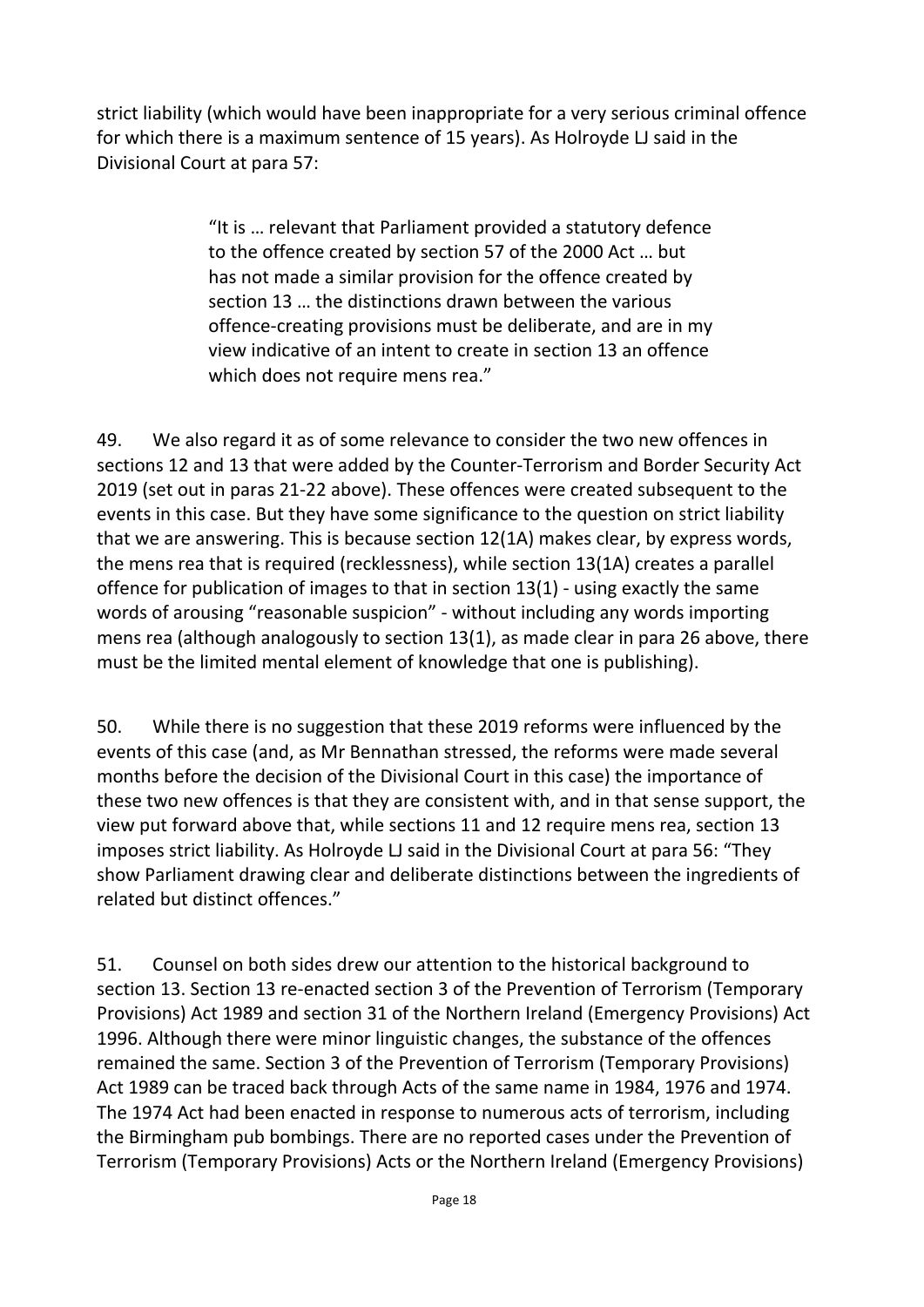strict liability (which would have been inappropriate for a very serious criminal offence for which there is a maximum sentence of 15 years). As Holroyde LJ said in the Divisional Court at para 57:

> "It is … relevant that Parliament provided a statutory defence to the offence created by section 57 of the 2000 Act … but has not made a similar provision for the offence created by section 13 … the distinctions drawn between the various offence-creating provisions must be deliberate, and are in my view indicative of an intent to create in section 13 an offence which does not require mens rea."

49. We also regard it as of some relevance to consider the two new offences in sections 12 and 13 that were added by the Counter-Terrorism and Border Security Act 2019 (set out in paras 21-22 above). These offences were created subsequent to the events in this case. But they have some significance to the question on strict liability that we are answering. This is because section 12(1A) makes clear, by express words, the mens rea that is required (recklessness), while section 13(1A) creates a parallel offence for publication of images to that in section 13(1) - using exactly the same words of arousing "reasonable suspicion" - without including any words importing mens rea (although analogously to section 13(1), as made clear in para 26 above, there must be the limited mental element of knowledge that one is publishing).

50. While there is no suggestion that these 2019 reforms were influenced by the events of this case (and, as Mr Bennathan stressed, the reforms were made several months before the decision of the Divisional Court in this case) the importance of these two new offences is that they are consistent with, and in that sense support, the view put forward above that, while sections 11 and 12 require mens rea, section 13 imposes strict liability. As Holroyde LJ said in the Divisional Court at para 56: "They show Parliament drawing clear and deliberate distinctions between the ingredients of related but distinct offences."

51. Counsel on both sides drew our attention to the historical background to section 13. Section 13 re-enacted section 3 of the Prevention of Terrorism (Temporary Provisions) Act 1989 and section 31 of the Northern Ireland (Emergency Provisions) Act 1996. Although there were minor linguistic changes, the substance of the offences remained the same. Section 3 of the Prevention of Terrorism (Temporary Provisions) Act 1989 can be traced back through Acts of the same name in 1984, 1976 and 1974. The 1974 Act had been enacted in response to numerous acts of terrorism, including the Birmingham pub bombings. There are no reported cases under the Prevention of Terrorism (Temporary Provisions) Acts or the Northern Ireland (Emergency Provisions)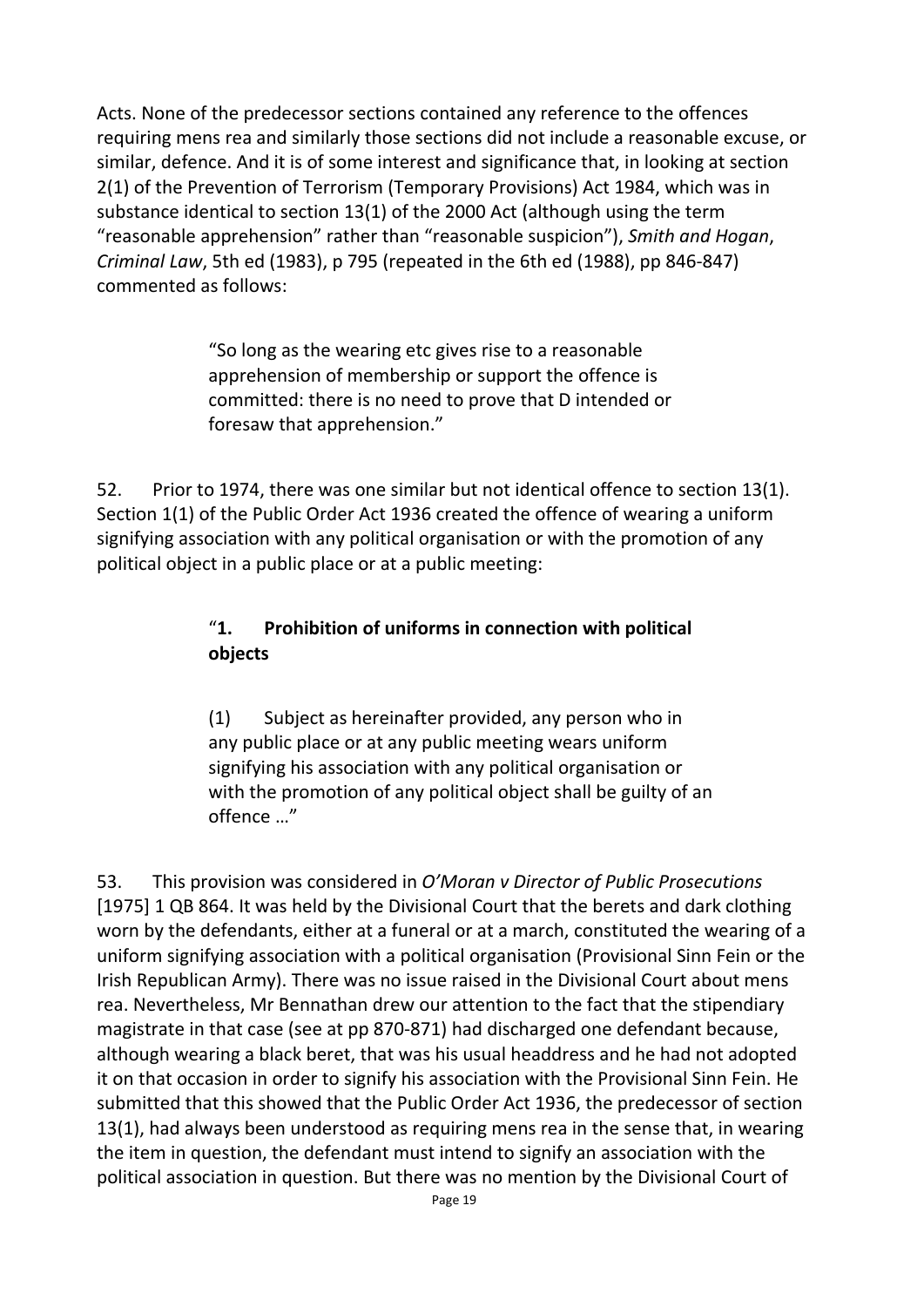Acts. None of the predecessor sections contained any reference to the offences requiring mens rea and similarly those sections did not include a reasonable excuse, or similar, defence. And it is of some interest and significance that, in looking at section 2(1) of the Prevention of Terrorism (Temporary Provisions) Act 1984, which was in substance identical to section 13(1) of the 2000 Act (although using the term "reasonable apprehension" rather than "reasonable suspicion"), *Smith and Hogan*, *Criminal Law*, 5th ed (1983), p 795 (repeated in the 6th ed (1988), pp 846-847) commented as follows:

> "So long as the wearing etc gives rise to a reasonable apprehension of membership or support the offence is committed: there is no need to prove that D intended or foresaw that apprehension."

52. Prior to 1974, there was one similar but not identical offence to section 13(1). Section 1(1) of the Public Order Act 1936 created the offence of wearing a uniform signifying association with any political organisation or with the promotion of any political object in a public place or at a public meeting:

## "**1. Prohibition of uniforms in connection with political objects**

(1) Subject as hereinafter provided, any person who in any public place or at any public meeting wears uniform signifying his association with any political organisation or with the promotion of any political object shall be guilty of an offence …"

53. This provision was considered in *O'Moran v Director of Public Prosecutions* [1975] 1 QB 864. It was held by the Divisional Court that the berets and dark clothing worn by the defendants, either at a funeral or at a march, constituted the wearing of a uniform signifying association with a political organisation (Provisional Sinn Fein or the Irish Republican Army). There was no issue raised in the Divisional Court about mens rea. Nevertheless, Mr Bennathan drew our attention to the fact that the stipendiary magistrate in that case (see at pp 870-871) had discharged one defendant because, although wearing a black beret, that was his usual headdress and he had not adopted it on that occasion in order to signify his association with the Provisional Sinn Fein. He submitted that this showed that the Public Order Act 1936, the predecessor of section 13(1), had always been understood as requiring mens rea in the sense that, in wearing the item in question, the defendant must intend to signify an association with the political association in question. But there was no mention by the Divisional Court of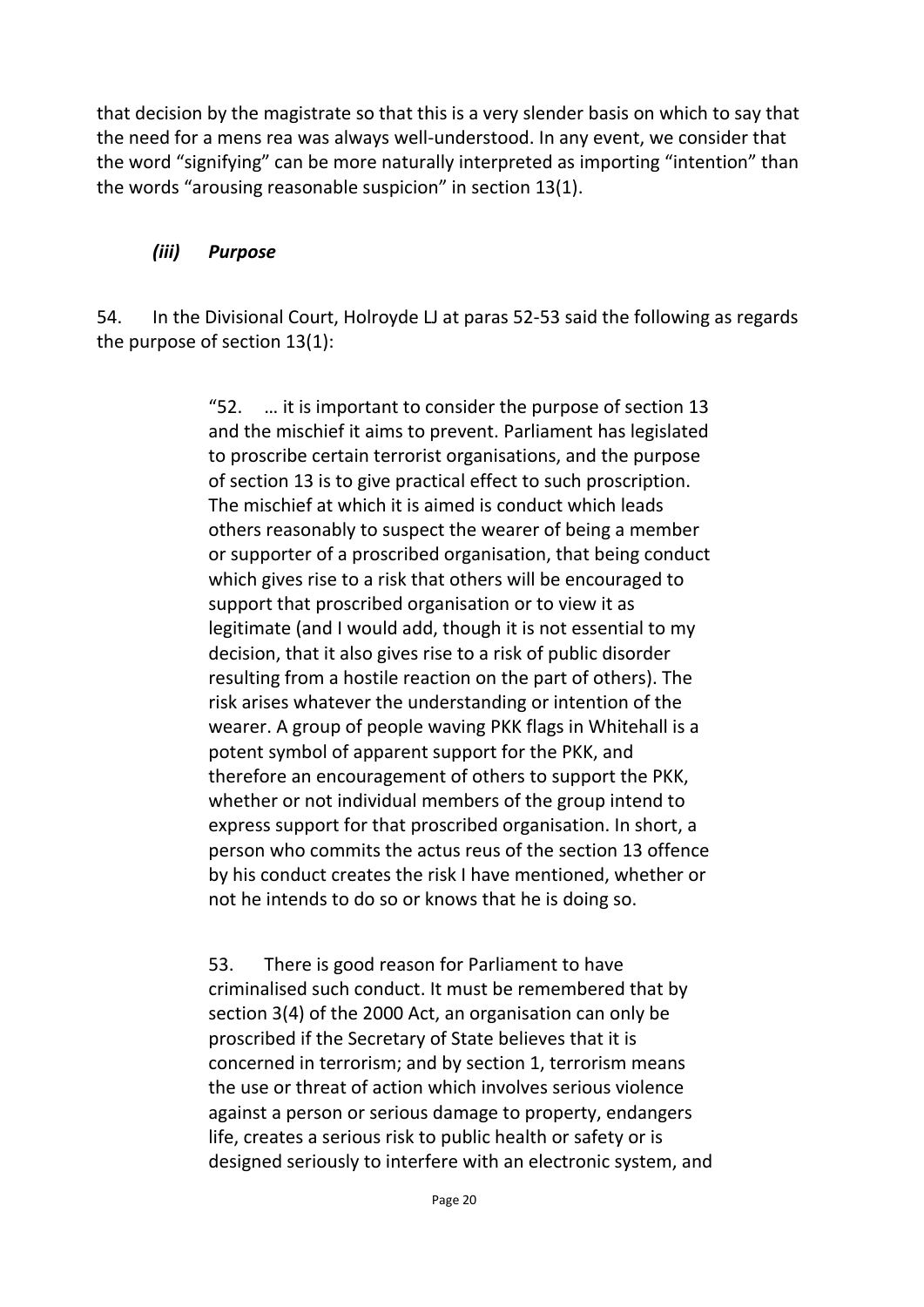that decision by the magistrate so that this is a very slender basis on which to say that the need for a mens rea was always well-understood. In any event, we consider that the word "signifying" can be more naturally interpreted as importing "intention" than the words "arousing reasonable suspicion" in section 13(1).

## *(iii) Purpose*

54. In the Divisional Court, Holroyde LJ at paras 52-53 said the following as regards the purpose of section 13(1):

> "52. … it is important to consider the purpose of section 13 and the mischief it aims to prevent. Parliament has legislated to proscribe certain terrorist organisations, and the purpose of section 13 is to give practical effect to such proscription. The mischief at which it is aimed is conduct which leads others reasonably to suspect the wearer of being a member or supporter of a proscribed organisation, that being conduct which gives rise to a risk that others will be encouraged to support that proscribed organisation or to view it as legitimate (and I would add, though it is not essential to my decision, that it also gives rise to a risk of public disorder resulting from a hostile reaction on the part of others). The risk arises whatever the understanding or intention of the wearer. A group of people waving PKK flags in Whitehall is a potent symbol of apparent support for the PKK, and therefore an encouragement of others to support the PKK, whether or not individual members of the group intend to express support for that proscribed organisation. In short, a person who commits the actus reus of the section 13 offence by his conduct creates the risk I have mentioned, whether or not he intends to do so or knows that he is doing so.

> 53. There is good reason for Parliament to have criminalised such conduct. It must be remembered that by section 3(4) of the 2000 Act, an organisation can only be proscribed if the Secretary of State believes that it is concerned in terrorism; and by section 1, terrorism means the use or threat of action which involves serious violence against a person or serious damage to property, endangers life, creates a serious risk to public health or safety or is designed seriously to interfere with an electronic system, and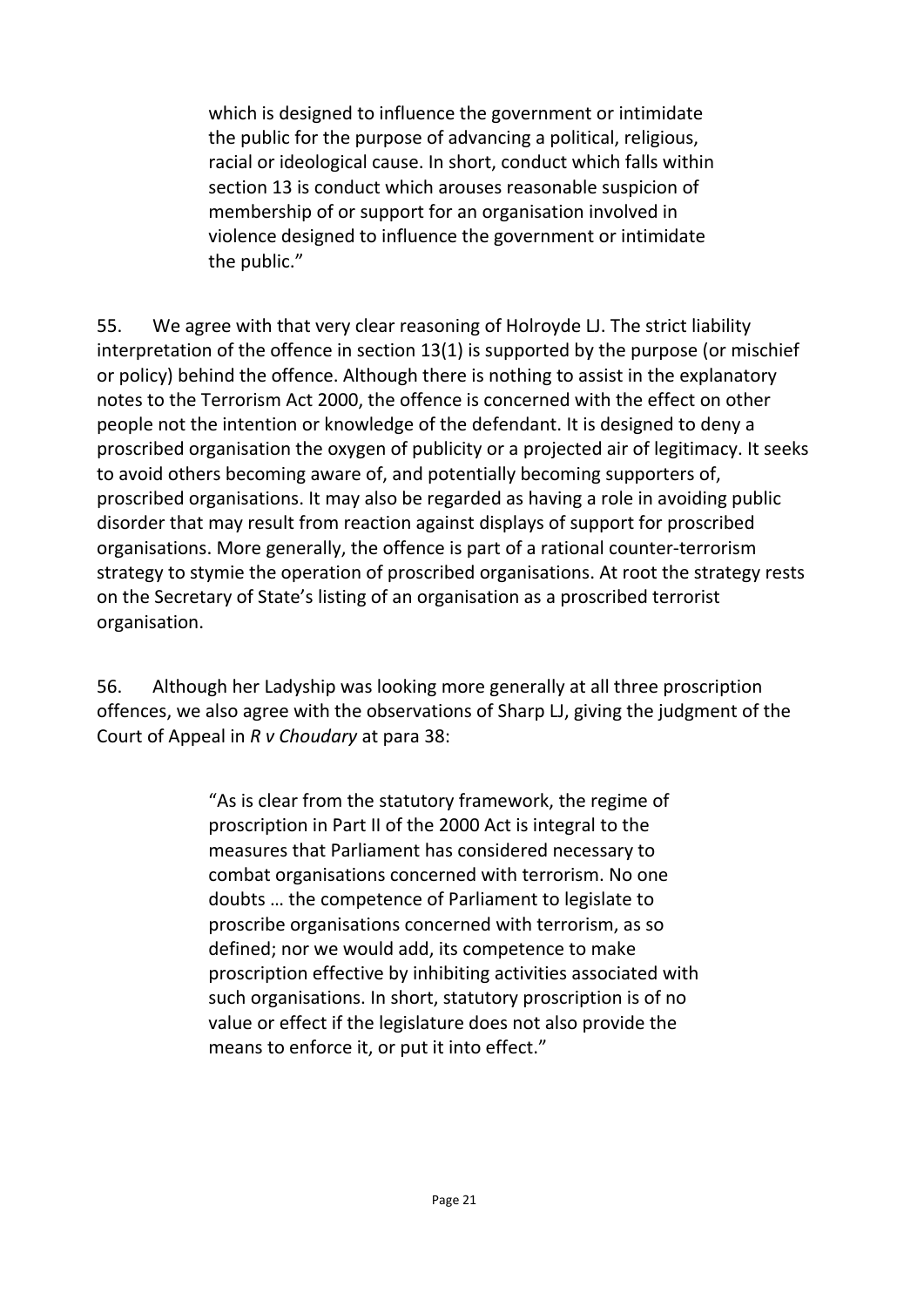which is designed to influence the government or intimidate the public for the purpose of advancing a political, religious, racial or ideological cause. In short, conduct which falls within section 13 is conduct which arouses reasonable suspicion of membership of or support for an organisation involved in violence designed to influence the government or intimidate the public."

55. We agree with that very clear reasoning of Holroyde LJ. The strict liability interpretation of the offence in section 13(1) is supported by the purpose (or mischief or policy) behind the offence. Although there is nothing to assist in the explanatory notes to the Terrorism Act 2000, the offence is concerned with the effect on other people not the intention or knowledge of the defendant. It is designed to deny a proscribed organisation the oxygen of publicity or a projected air of legitimacy. It seeks to avoid others becoming aware of, and potentially becoming supporters of, proscribed organisations. It may also be regarded as having a role in avoiding public disorder that may result from reaction against displays of support for proscribed organisations. More generally, the offence is part of a rational counter-terrorism strategy to stymie the operation of proscribed organisations. At root the strategy rests on the Secretary of State's listing of an organisation as a proscribed terrorist organisation.

56. Although her Ladyship was looking more generally at all three proscription offences, we also agree with the observations of Sharp LJ, giving the judgment of the Court of Appeal in *R v Choudary* at para 38:

> "As is clear from the statutory framework, the regime of proscription in Part II of the 2000 Act is integral to the measures that Parliament has considered necessary to combat organisations concerned with terrorism. No one doubts … the competence of Parliament to legislate to proscribe organisations concerned with terrorism, as so defined; nor we would add, its competence to make proscription effective by inhibiting activities associated with such organisations. In short, statutory proscription is of no value or effect if the legislature does not also provide the means to enforce it, or put it into effect."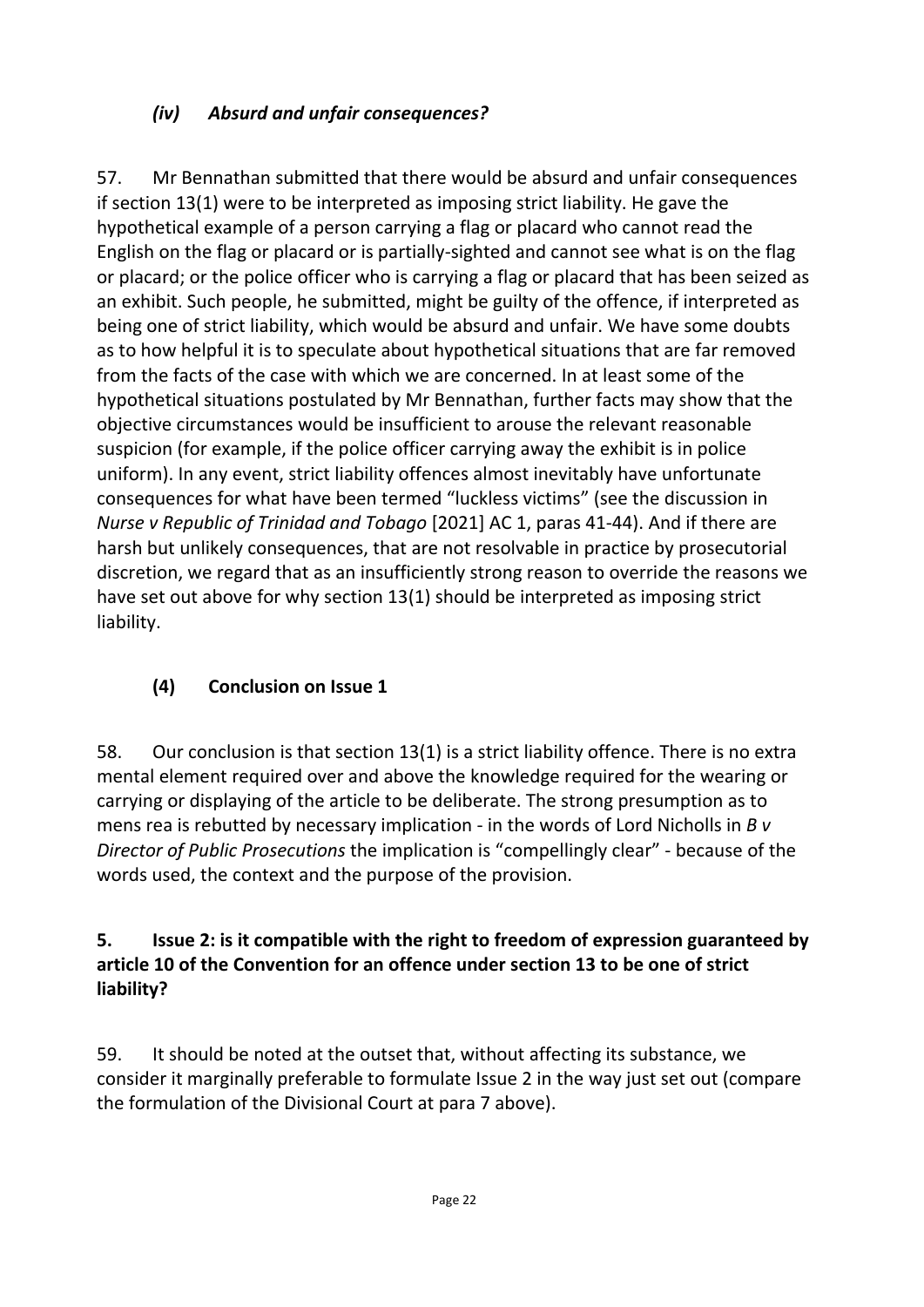## *(iv) Absurd and unfair consequences?*

57. Mr Bennathan submitted that there would be absurd and unfair consequences if section 13(1) were to be interpreted as imposing strict liability. He gave the hypothetical example of a person carrying a flag or placard who cannot read the English on the flag or placard or is partially-sighted and cannot see what is on the flag or placard; or the police officer who is carrying a flag or placard that has been seized as an exhibit. Such people, he submitted, might be guilty of the offence, if interpreted as being one of strict liability, which would be absurd and unfair. We have some doubts as to how helpful it is to speculate about hypothetical situations that are far removed from the facts of the case with which we are concerned. In at least some of the hypothetical situations postulated by Mr Bennathan, further facts may show that the objective circumstances would be insufficient to arouse the relevant reasonable suspicion (for example, if the police officer carrying away the exhibit is in police uniform). In any event, strict liability offences almost inevitably have unfortunate consequences for what have been termed "luckless victims" (see the discussion in *Nurse v Republic of Trinidad and Tobago* [2021] AC 1, paras 41-44). And if there are harsh but unlikely consequences, that are not resolvable in practice by prosecutorial discretion, we regard that as an insufficiently strong reason to override the reasons we have set out above for why section 13(1) should be interpreted as imposing strict liability.

## **(4) Conclusion on Issue 1**

58. Our conclusion is that section 13(1) is a strict liability offence. There is no extra mental element required over and above the knowledge required for the wearing or carrying or displaying of the article to be deliberate. The strong presumption as to mens rea is rebutted by necessary implication - in the words of Lord Nicholls in *B v Director of Public Prosecutions* the implication is "compellingly clear" - because of the words used, the context and the purpose of the provision.

## **5. Issue 2: is it compatible with the right to freedom of expression guaranteed by article 10 of the Convention for an offence under section 13 to be one of strict liability?**

59. It should be noted at the outset that, without affecting its substance, we consider it marginally preferable to formulate Issue 2 in the way just set out (compare the formulation of the Divisional Court at para 7 above).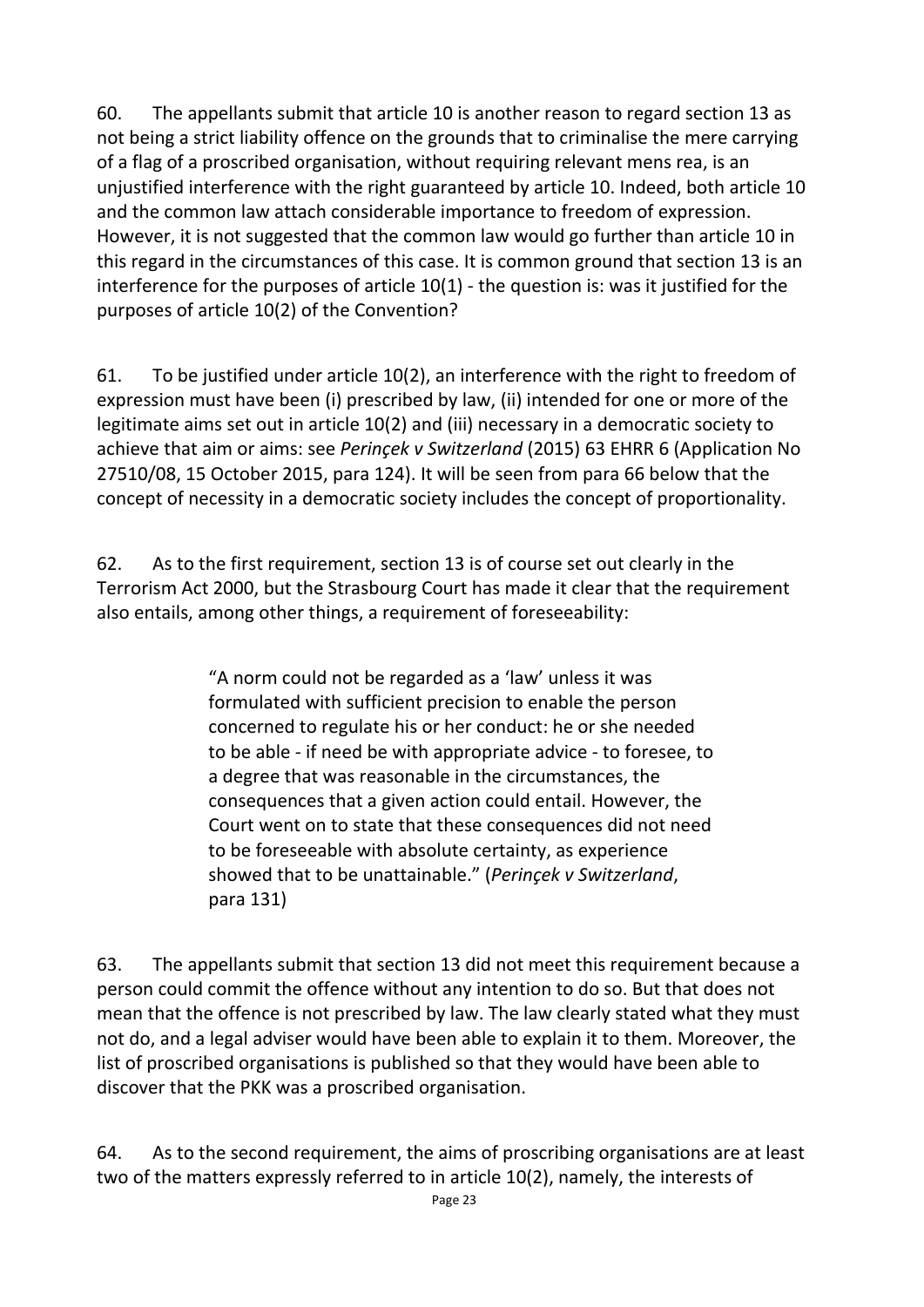60. The appellants submit that article 10 is another reason to regard section 13 as not being a strict liability offence on the grounds that to criminalise the mere carrying of a flag of a proscribed organisation, without requiring relevant mens rea, is an unjustified interference with the right guaranteed by article 10. Indeed, both article 10 and the common law attach considerable importance to freedom of expression. However, it is not suggested that the common law would go further than article 10 in this regard in the circumstances of this case. It is common ground that section 13 is an interference for the purposes of article 10(1) - the question is: was it justified for the purposes of article 10(2) of the Convention?

61. To be justified under article 10(2), an interference with the right to freedom of expression must have been (i) prescribed by law, (ii) intended for one or more of the legitimate aims set out in article 10(2) and (iii) necessary in a democratic society to achieve that aim or aims: see *Perinçek v Switzerland* (2015) 63 EHRR 6 (Application No 27510/08, 15 October 2015, para 124). It will be seen from para 66 below that the concept of necessity in a democratic society includes the concept of proportionality.

62. As to the first requirement, section 13 is of course set out clearly in the Terrorism Act 2000, but the Strasbourg Court has made it clear that the requirement also entails, among other things, a requirement of foreseeability:

> "A norm could not be regarded as a 'law' unless it was formulated with sufficient precision to enable the person concerned to regulate his or her conduct: he or she needed to be able - if need be with appropriate advice - to foresee, to a degree that was reasonable in the circumstances, the consequences that a given action could entail. However, the Court went on to state that these consequences did not need to be foreseeable with absolute certainty, as experience showed that to be unattainable." (*Perinçek v Switzerland*, para 131)

63. The appellants submit that section 13 did not meet this requirement because a person could commit the offence without any intention to do so. But that does not mean that the offence is not prescribed by law. The law clearly stated what they must not do, and a legal adviser would have been able to explain it to them. Moreover, the list of proscribed organisations is published so that they would have been able to discover that the PKK was a proscribed organisation.

64. As to the second requirement, the aims of proscribing organisations are at least two of the matters expressly referred to in article 10(2), namely, the interests of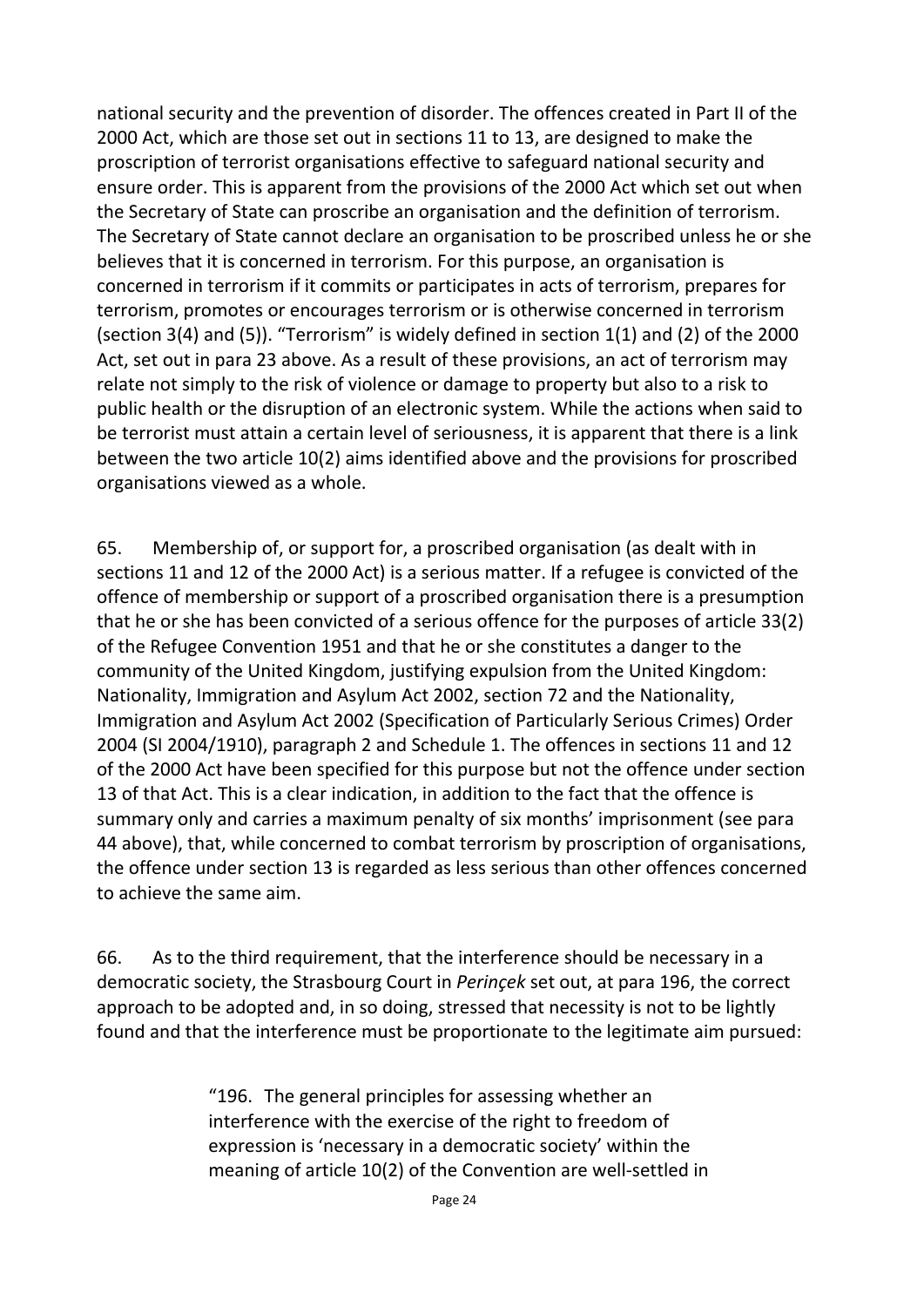national security and the prevention of disorder. The offences created in Part II of the 2000 Act, which are those set out in sections 11 to 13, are designed to make the proscription of terrorist organisations effective to safeguard national security and ensure order. This is apparent from the provisions of the 2000 Act which set out when the Secretary of State can proscribe an organisation and the definition of terrorism. The Secretary of State cannot declare an organisation to be proscribed unless he or she believes that it is concerned in terrorism. For this purpose, an organisation is concerned in terrorism if it commits or participates in acts of terrorism, prepares for terrorism, promotes or encourages terrorism or is otherwise concerned in terrorism (section 3(4) and (5)). "Terrorism" is widely defined in section 1(1) and (2) of the 2000 Act, set out in para 23 above. As a result of these provisions, an act of terrorism may relate not simply to the risk of violence or damage to property but also to a risk to public health or the disruption of an electronic system. While the actions when said to be terrorist must attain a certain level of seriousness, it is apparent that there is a link between the two article 10(2) aims identified above and the provisions for proscribed organisations viewed as a whole.

65. Membership of, or support for, a proscribed organisation (as dealt with in sections 11 and 12 of the 2000 Act) is a serious matter. If a refugee is convicted of the offence of membership or support of a proscribed organisation there is a presumption that he or she has been convicted of a serious offence for the purposes of article 33(2) of the Refugee Convention 1951 and that he or she constitutes a danger to the community of the United Kingdom, justifying expulsion from the United Kingdom: Nationality, Immigration and Asylum Act 2002, section 72 and the Nationality, Immigration and Asylum Act 2002 (Specification of Particularly Serious Crimes) Order 2004 (SI 2004/1910), paragraph 2 and Schedule 1. The offences in sections 11 and 12 of the 2000 Act have been specified for this purpose but not the offence under section 13 of that Act. This is a clear indication, in addition to the fact that the offence is summary only and carries a maximum penalty of six months' imprisonment (see para 44 above), that, while concerned to combat terrorism by proscription of organisations, the offence under section 13 is regarded as less serious than other offences concerned to achieve the same aim.

66. As to the third requirement, that the interference should be necessary in a democratic society, the Strasbourg Court in *Perinçek* set out, at para 196, the correct approach to be adopted and, in so doing, stressed that necessity is not to be lightly found and that the interference must be proportionate to the legitimate aim pursued:

> "196. The general principles for assessing whether an interference with the exercise of the right to freedom of expression is 'necessary in a democratic society' within the meaning of article 10(2) of the Convention are well-settled in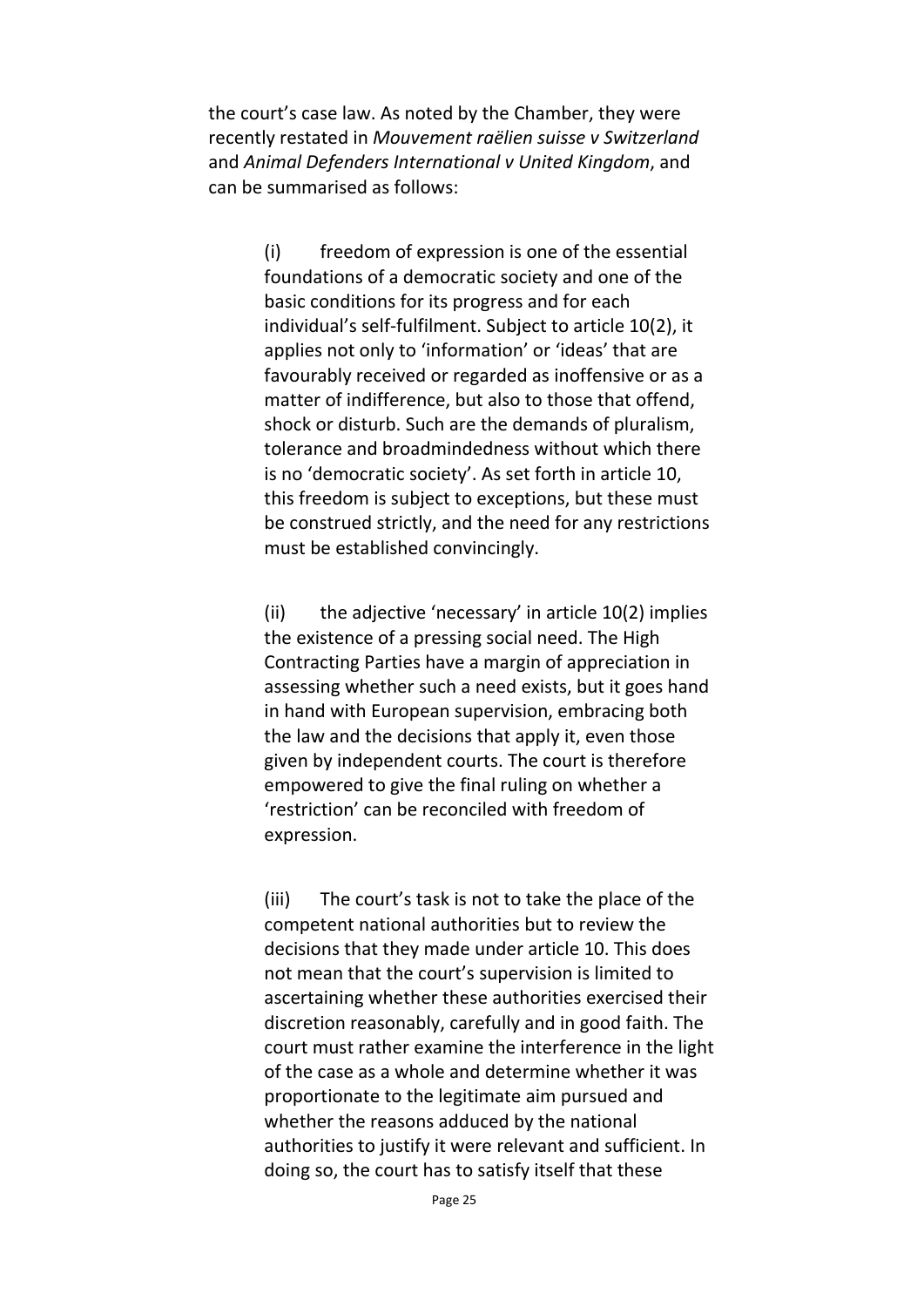the court's case law. As noted by the Chamber, they were recently restated in *Mouvement raëlien suisse v Switzerland* and *Animal Defenders International v United Kingdom*, and can be summarised as follows:

> (i) freedom of expression is one of the essential foundations of a democratic society and one of the basic conditions for its progress and for each individual's self-fulfilment. Subject to article 10(2), it applies not only to 'information' or 'ideas' that are favourably received or regarded as inoffensive or as a matter of indifference, but also to those that offend, shock or disturb. Such are the demands of pluralism, tolerance and broadmindedness without which there is no 'democratic society'. As set forth in article 10, this freedom is subject to exceptions, but these must be construed strictly, and the need for any restrictions must be established convincingly.

> (ii) the adjective 'necessary' in article  $10(2)$  implies the existence of a pressing social need. The High Contracting Parties have a margin of appreciation in assessing whether such a need exists, but it goes hand in hand with European supervision, embracing both the law and the decisions that apply it, even those given by independent courts. The court is therefore empowered to give the final ruling on whether a 'restriction' can be reconciled with freedom of expression.

(iii) The court's task is not to take the place of the competent national authorities but to review the decisions that they made under article 10. This does not mean that the court's supervision is limited to ascertaining whether these authorities exercised their discretion reasonably, carefully and in good faith. The court must rather examine the interference in the light of the case as a whole and determine whether it was proportionate to the legitimate aim pursued and whether the reasons adduced by the national authorities to justify it were relevant and sufficient. In doing so, the court has to satisfy itself that these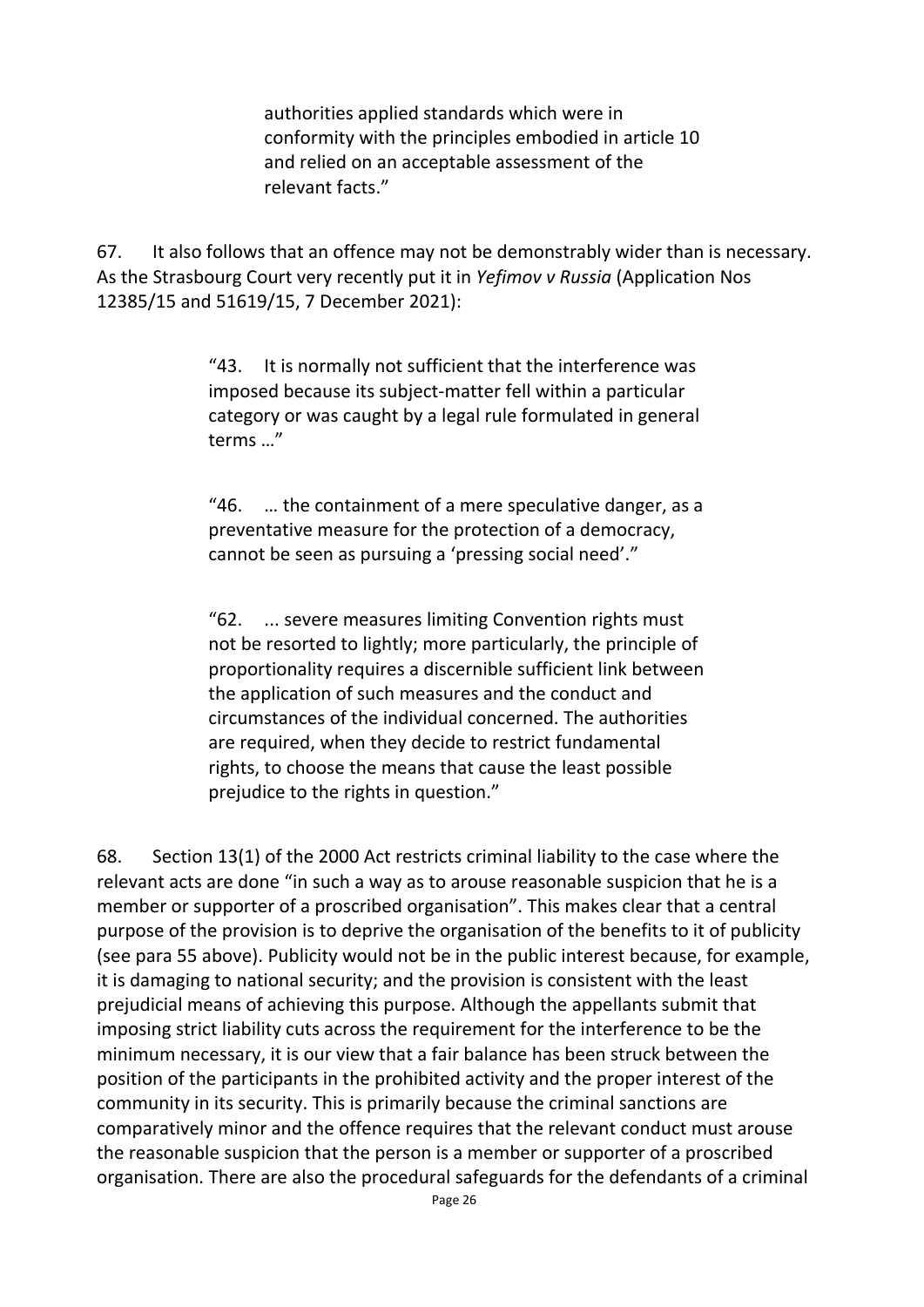authorities applied standards which were in conformity with the principles embodied in article 10 and relied on an acceptable assessment of the relevant facts."

67. It also follows that an offence may not be demonstrably wider than is necessary. As the Strasbourg Court very recently put it in *Yefimov v Russia* (Application Nos 12385/15 and 51619/15, 7 December 2021):

> "43. It is normally not sufficient that the interference was imposed because its subject-matter fell within a particular category or was caught by a legal rule formulated in general terms …"

> "46. … the containment of a mere speculative danger, as a preventative measure for the protection of a democracy, cannot be seen as pursuing a 'pressing social need'."

> "62. ... severe measures limiting Convention rights must not be resorted to lightly; more particularly, the principle of proportionality requires a discernible sufficient link between the application of such measures and the conduct and circumstances of the individual concerned. The authorities are required, when they decide to restrict fundamental rights, to choose the means that cause the least possible prejudice to the rights in question."

68. Section 13(1) of the 2000 Act restricts criminal liability to the case where the relevant acts are done "in such a way as to arouse reasonable suspicion that he is a member or supporter of a proscribed organisation". This makes clear that a central purpose of the provision is to deprive the organisation of the benefits to it of publicity (see para 55 above). Publicity would not be in the public interest because, for example, it is damaging to national security; and the provision is consistent with the least prejudicial means of achieving this purpose. Although the appellants submit that imposing strict liability cuts across the requirement for the interference to be the minimum necessary, it is our view that a fair balance has been struck between the position of the participants in the prohibited activity and the proper interest of the community in its security. This is primarily because the criminal sanctions are comparatively minor and the offence requires that the relevant conduct must arouse the reasonable suspicion that the person is a member or supporter of a proscribed organisation. There are also the procedural safeguards for the defendants of a criminal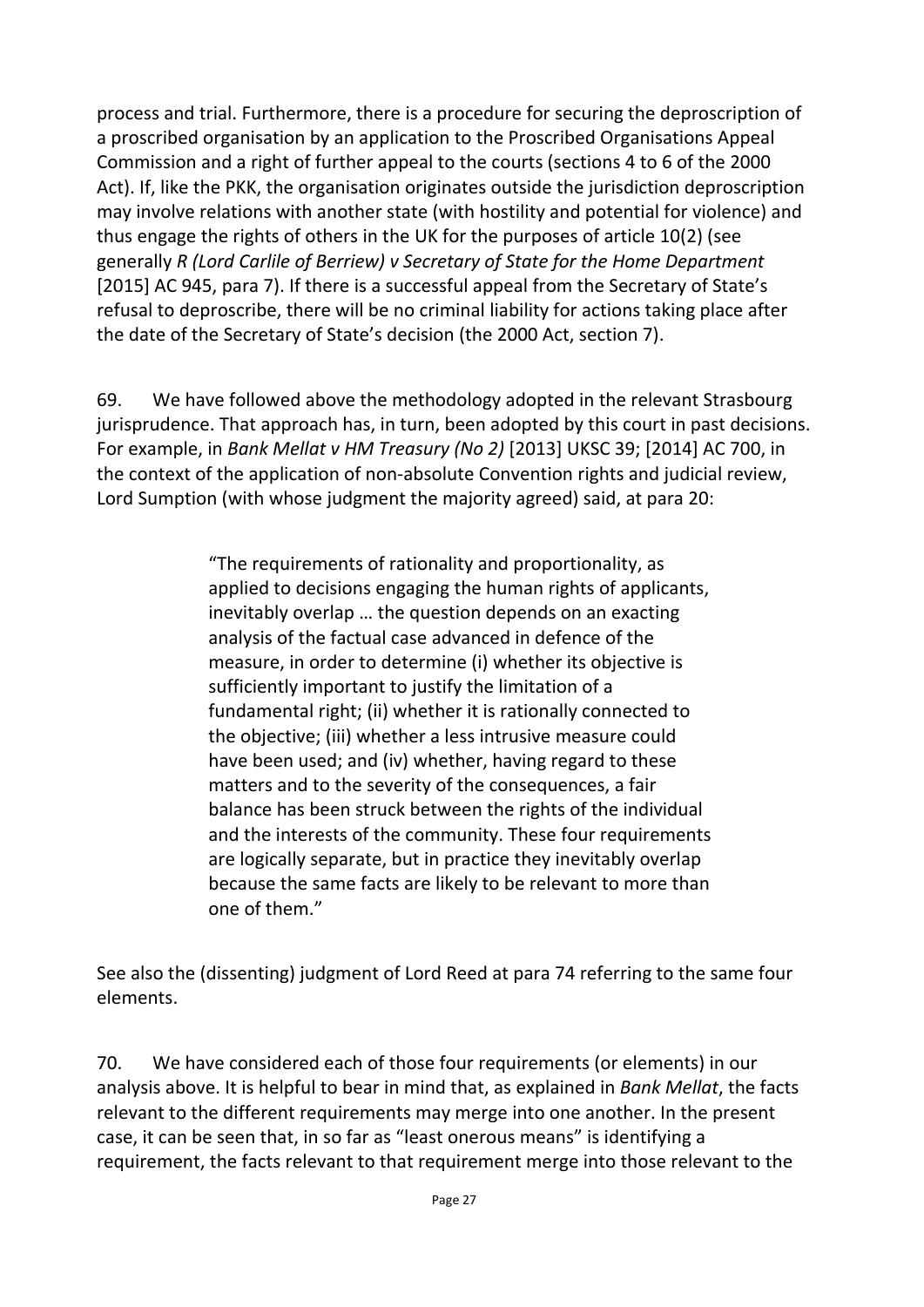process and trial. Furthermore, there is a procedure for securing the deproscription of a proscribed organisation by an application to the Proscribed Organisations Appeal Commission and a right of further appeal to the courts (sections 4 to 6 of the 2000 Act). If, like the PKK, the organisation originates outside the jurisdiction deproscription may involve relations with another state (with hostility and potential for violence) and thus engage the rights of others in the UK for the purposes of article 10(2) (see generally *R (Lord Carlile of Berriew) v Secretary of State for the Home Department* [2015] AC 945, para 7). If there is a successful appeal from the Secretary of State's refusal to deproscribe, there will be no criminal liability for actions taking place after the date of the Secretary of State's decision (the 2000 Act, section 7).

69. We have followed above the methodology adopted in the relevant Strasbourg jurisprudence. That approach has, in turn, been adopted by this court in past decisions. For example, in *Bank Mellat v HM Treasury (No 2)* [2013] UKSC 39; [2014] AC 700, in the context of the application of non-absolute Convention rights and judicial review, Lord Sumption (with whose judgment the majority agreed) said, at para 20:

> "The requirements of rationality and proportionality, as applied to decisions engaging the human rights of applicants, inevitably overlap … the question depends on an exacting analysis of the factual case advanced in defence of the measure, in order to determine (i) whether its objective is sufficiently important to justify the limitation of a fundamental right; (ii) whether it is rationally connected to the objective; (iii) whether a less intrusive measure could have been used; and (iv) whether, having regard to these matters and to the severity of the consequences, a fair balance has been struck between the rights of the individual and the interests of the community. These four requirements are logically separate, but in practice they inevitably overlap because the same facts are likely to be relevant to more than one of them."

See also the (dissenting) judgment of Lord Reed at para 74 referring to the same four elements.

70. We have considered each of those four requirements (or elements) in our analysis above. It is helpful to bear in mind that, as explained in *Bank Mellat*, the facts relevant to the different requirements may merge into one another. In the present case, it can be seen that, in so far as "least onerous means" is identifying a requirement, the facts relevant to that requirement merge into those relevant to the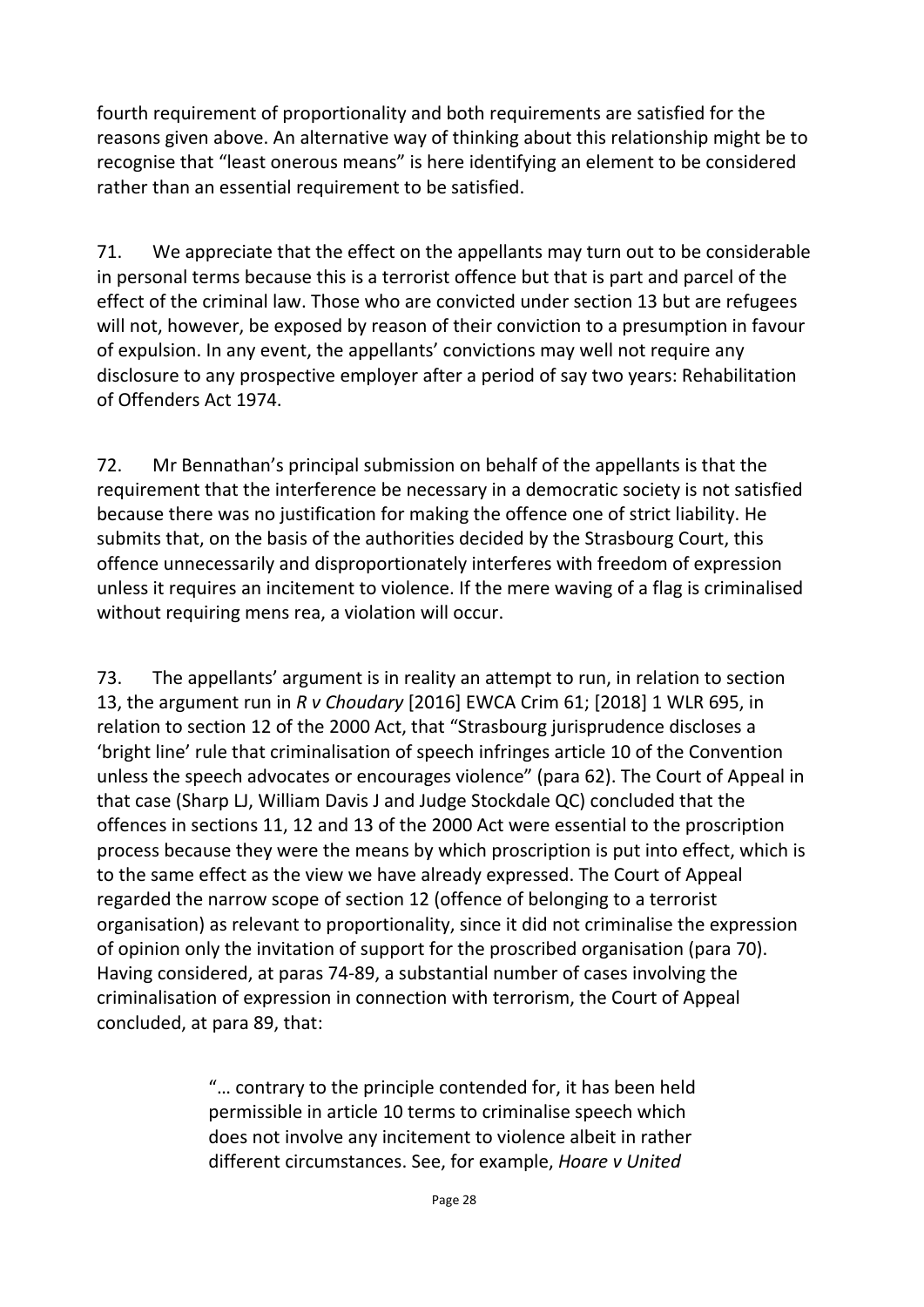fourth requirement of proportionality and both requirements are satisfied for the reasons given above. An alternative way of thinking about this relationship might be to recognise that "least onerous means" is here identifying an element to be considered rather than an essential requirement to be satisfied.

71. We appreciate that the effect on the appellants may turn out to be considerable in personal terms because this is a terrorist offence but that is part and parcel of the effect of the criminal law. Those who are convicted under section 13 but are refugees will not, however, be exposed by reason of their conviction to a presumption in favour of expulsion. In any event, the appellants' convictions may well not require any disclosure to any prospective employer after a period of say two years: Rehabilitation of Offenders Act 1974.

72. Mr Bennathan's principal submission on behalf of the appellants is that the requirement that the interference be necessary in a democratic society is not satisfied because there was no justification for making the offence one of strict liability. He submits that, on the basis of the authorities decided by the Strasbourg Court, this offence unnecessarily and disproportionately interferes with freedom of expression unless it requires an incitement to violence. If the mere waving of a flag is criminalised without requiring mens rea, a violation will occur.

73. The appellants' argument is in reality an attempt to run, in relation to section 13, the argument run in *R v Choudary* [2016] EWCA Crim 61; [2018] 1 WLR 695, in relation to section 12 of the 2000 Act, that "Strasbourg jurisprudence discloses a 'bright line' rule that criminalisation of speech infringes article 10 of the Convention unless the speech advocates or encourages violence" (para 62). The Court of Appeal in that case (Sharp LJ, William Davis J and Judge Stockdale QC) concluded that the offences in sections 11, 12 and 13 of the 2000 Act were essential to the proscription process because they were the means by which proscription is put into effect, which is to the same effect as the view we have already expressed. The Court of Appeal regarded the narrow scope of section 12 (offence of belonging to a terrorist organisation) as relevant to proportionality, since it did not criminalise the expression of opinion only the invitation of support for the proscribed organisation (para 70). Having considered, at paras 74-89, a substantial number of cases involving the criminalisation of expression in connection with terrorism, the Court of Appeal concluded, at para 89, that:

> "… contrary to the principle contended for, it has been held permissible in article 10 terms to criminalise speech which does not involve any incitement to violence albeit in rather different circumstances. See, for example, *Hoare v United*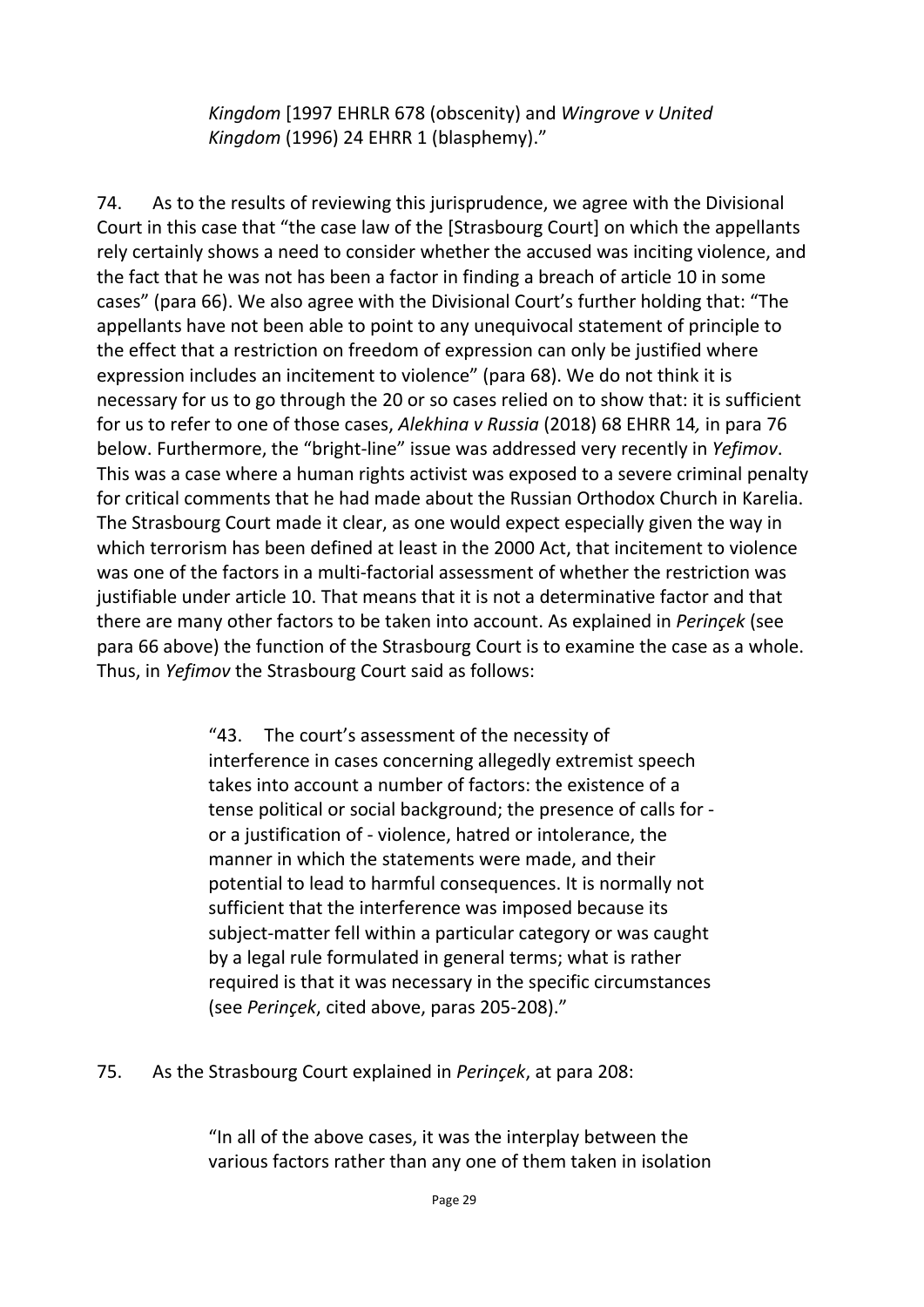*Kingdom* [1997 EHRLR 678 (obscenity) and *Wingrove v United Kingdom* (1996) 24 EHRR 1 (blasphemy)."

74. As to the results of reviewing this jurisprudence, we agree with the Divisional Court in this case that "the case law of the [Strasbourg Court] on which the appellants rely certainly shows a need to consider whether the accused was inciting violence, and the fact that he was not has been a factor in finding a breach of article 10 in some cases" (para 66). We also agree with the Divisional Court's further holding that: "The appellants have not been able to point to any unequivocal statement of principle to the effect that a restriction on freedom of expression can only be justified where expression includes an incitement to violence" (para 68). We do not think it is necessary for us to go through the 20 or so cases relied on to show that: it is sufficient for us to refer to one of those cases, *Alekhina v Russia* (2018) 68 EHRR 14*,* in para 76 below. Furthermore, the "bright-line" issue was addressed very recently in *Yefimov*. This was a case where a human rights activist was exposed to a severe criminal penalty for critical comments that he had made about the Russian Orthodox Church in Karelia. The Strasbourg Court made it clear, as one would expect especially given the way in which terrorism has been defined at least in the 2000 Act, that incitement to violence was one of the factors in a multi-factorial assessment of whether the restriction was justifiable under article 10. That means that it is not a determinative factor and that there are many other factors to be taken into account. As explained in *Perinçek* (see para 66 above) the function of the Strasbourg Court is to examine the case as a whole. Thus, in *Yefimov* the Strasbourg Court said as follows:

> "43. The court's assessment of the necessity of interference in cases concerning allegedly extremist speech takes into account a number of factors: the existence of a tense political or social background; the presence of calls for or a justification of - violence, hatred or intolerance, the manner in which the statements were made, and their potential to lead to harmful consequences. It is normally not sufficient that the interference was imposed because its subject-matter fell within a particular category or was caught by a legal rule formulated in general terms; what is rather required is that it was necessary in the specific circumstances (see *Perinçek*, cited above, paras 205-208)."

75. As the Strasbourg Court explained in *Perinçek*, at para 208:

"In all of the above cases, it was the interplay between the various factors rather than any one of them taken in isolation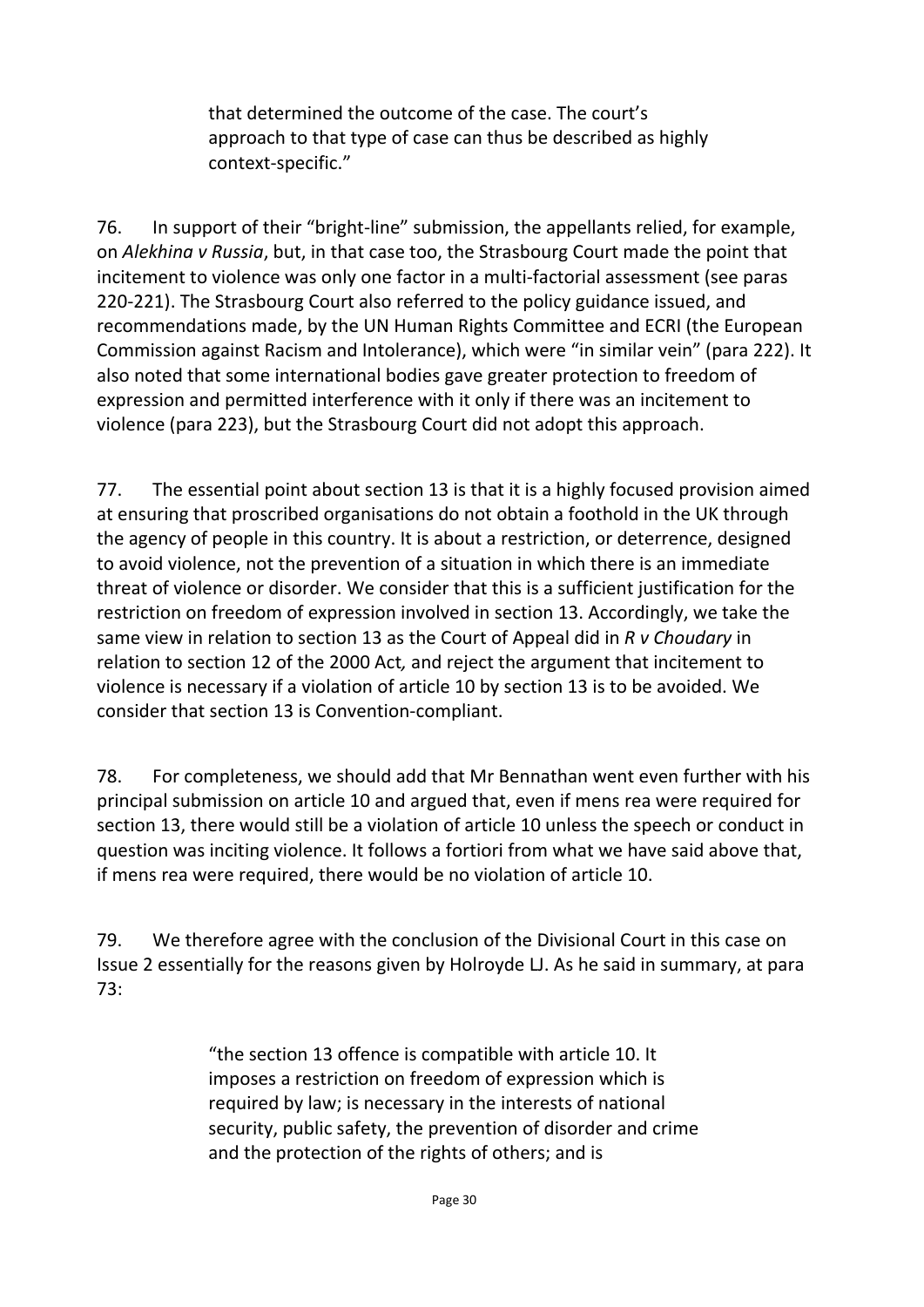that determined the outcome of the case. The court's approach to that type of case can thus be described as highly context-specific."

76. In support of their "bright-line" submission, the appellants relied, for example, on *Alekhina v Russia*, but, in that case too, the Strasbourg Court made the point that incitement to violence was only one factor in a multi-factorial assessment (see paras 220-221). The Strasbourg Court also referred to the policy guidance issued, and recommendations made, by the UN Human Rights Committee and ECRI (the European Commission against Racism and Intolerance), which were "in similar vein" (para 222). It also noted that some international bodies gave greater protection to freedom of expression and permitted interference with it only if there was an incitement to violence (para 223), but the Strasbourg Court did not adopt this approach.

77. The essential point about section 13 is that it is a highly focused provision aimed at ensuring that proscribed organisations do not obtain a foothold in the UK through the agency of people in this country. It is about a restriction, or deterrence, designed to avoid violence, not the prevention of a situation in which there is an immediate threat of violence or disorder. We consider that this is a sufficient justification for the restriction on freedom of expression involved in section 13. Accordingly, we take the same view in relation to section 13 as the Court of Appeal did in *R v Choudary* in relation to section 12 of the 2000 Act*,* and reject the argument that incitement to violence is necessary if a violation of article 10 by section 13 is to be avoided. We consider that section 13 is Convention-compliant.

78. For completeness, we should add that Mr Bennathan went even further with his principal submission on article 10 and argued that, even if mens rea were required for section 13, there would still be a violation of article 10 unless the speech or conduct in question was inciting violence. It follows a fortiori from what we have said above that, if mens rea were required, there would be no violation of article 10.

79. We therefore agree with the conclusion of the Divisional Court in this case on Issue 2 essentially for the reasons given by Holroyde LJ. As he said in summary, at para 73:

> "the section 13 offence is compatible with article 10. It imposes a restriction on freedom of expression which is required by law; is necessary in the interests of national security, public safety, the prevention of disorder and crime and the protection of the rights of others; and is